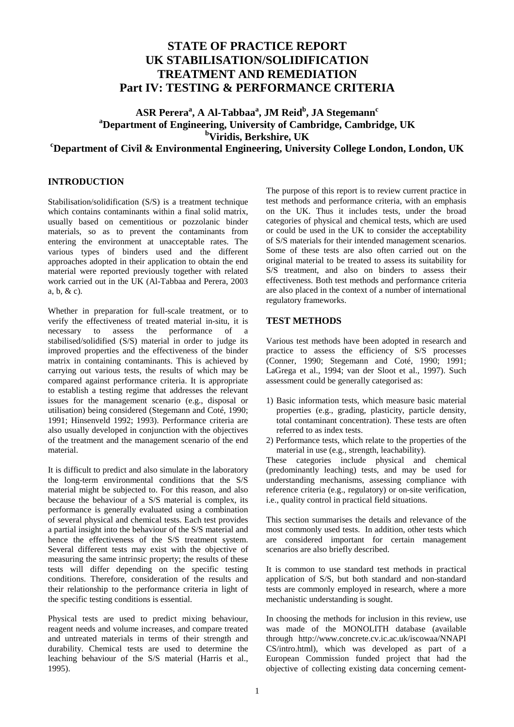# **STATE OF PRACTICE REPORT UK STABILISATION/SOLIDIFICATION TREATMENT AND REMEDIATION Part IV: TESTING & PERFORMANCE CRITERIA**

# **ASR Perera<sup>a</sup>, A Al-Tabbaa<sup>a</sup>, JM Reid<sup>b</sup>, JA Stegemann<sup>c</sup>**<br>
<sup>a</sup> Department of Engineering University of Combridge Combrid **Department of Engineering, University of Cambridge, Cambridge, UK**  <sup>b</sup>Viridis, Berkshire, UK <sup>b</sup>Viridis, Berkshire, UK<br>Department of Civil & Environmental Engineering, University College London, London, UK <sup>c</sup>

# **INTRODUCTION**

Stabilisation/solidification (S/S) is a treatment technique which contains contaminants within a final solid matrix, usually based on cementitious or pozzolanic binder materials, so as to prevent the contaminants from entering the environment at unacceptable rates. The various types of binders used and the different approaches adopted in their application to obtain the end material were reported previously together with related work carried out in the UK (Al-Tabbaa and Perera, 2003 a, b, & c).

Whether in preparation for full-scale treatment, or to verify the effectiveness of treated material in-situ, it is necessary to assess the performance of a stabilised/solidified (S/S) material in order to judge its improved properties and the effectiveness of the binder matrix in containing contaminants. This is achieved by carrying out various tests, the results of which may be compared against performance criteria. It is appropriate to establish a testing regime that addresses the relevant issues for the management scenario (e.g., disposal or utilisation) being considered (Stegemann and Coté, 1990; 1991; Hinsenveld 1992; 1993). Performance criteria are also usually developed in conjunction with the objectives of the treatment and the management scenario of the end material.

It is difficult to predict and also simulate in the laboratory the long-term environmental conditions that the S/S material might be subjected to. For this reason, and also because the behaviour of a S/S material is complex, its performance is generally evaluated using a combination of several physical and chemical tests. Each test provides a partial insight into the behaviour of the S/S material and hence the effectiveness of the S/S treatment system. Several different tests may exist with the objective of measuring the same intrinsic property; the results of these tests will differ depending on the specific testing conditions. Therefore, consideration of the results and their relationship to the performance criteria in light of the specific testing conditions is essential.

Physical tests are used to predict mixing behaviour, reagent needs and volume increases, and compare treated and untreated materials in terms of their strength and durability. Chemical tests are used to determine the leaching behaviour of the S/S material (Harris et al., 1995).

The purpose of this report is to review current practice in test methods and performance criteria, with an emphasis on the UK. Thus it includes tests, under the broad categories of physical and chemical tests, which are used or could be used in the UK to consider the acceptability of S/S materials for their intended management scenarios. Some of these tests are also often carried out on the original material to be treated to assess its suitability for S/S treatment, and also on binders to assess their effectiveness. Both test methods and performance criteria are also placed in the context of a number of international regulatory frameworks.

# **TEST METHODS**

Various test methods have been adopted in research and practice to assess the efficiency of S/S processes (Conner, 1990; Stegemann and Coté, 1990; 1991; LaGrega et al., 1994; van der Sloot et al., 1997). Such assessment could be generally categorised as:

- 1) Basic information tests, which measure basic material properties (e.g., grading, plasticity, particle density, total contaminant concentration). These tests are often referred to as index tests.
- 2) Performance tests, which relate to the properties of the material in use (e.g., strength, leachability).

These categories include physical and chemical (predominantly leaching) tests, and may be used for understanding mechanisms, assessing compliance with reference criteria (e.g., regulatory) or on-site verification, i.e., quality control in practical field situations.

This section summarises the details and relevance of the most commonly used tests. In addition, other tests which are considered important for certain management scenarios are also briefly described.

It is common to use standard test methods in practical application of S/S, but both standard and non-standard tests are commonly employed in research, where a more mechanistic understanding is sought.

In choosing the methods for inclusion in this review, use was made of the MONOLITH database (available through http://www.concrete.cv.ic.ac.uk/iscowaa/NNAPI CS/intro.html), which was developed as part of a European Commission funded project that had the objective of collecting existing data concerning cement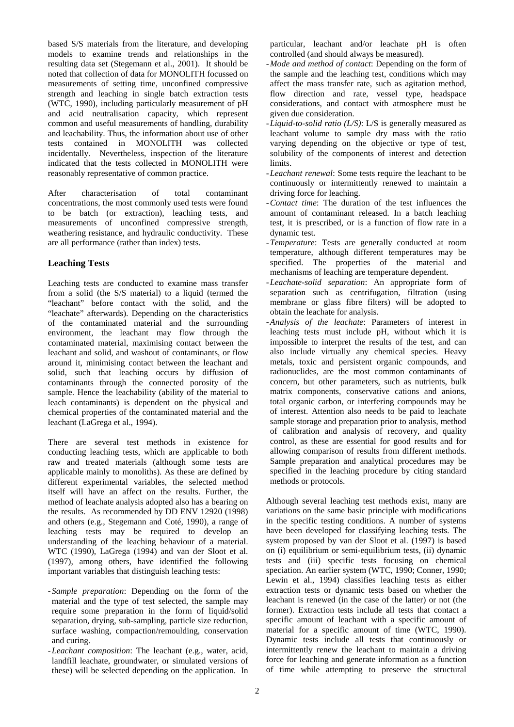based S/S materials from the literature, and developing models to examine trends and relationships in the resulting data set (Stegemann et al., 2001). It should be noted that collection of data for MONOLITH focussed on measurements of setting time, unconfined compressive strength and leaching in single batch extraction tests (WTC, 1990), including particularly measurement of pH and acid neutralisation capacity, which represent common and useful measurements of handling, durability and leachability. Thus, the information about use of other tests contained in MONOLITH was collected incidentally. Nevertheless, inspection of the literature indicated that the tests collected in MONOLITH were reasonably representative of common practice.

After characterisation of total contaminant concentrations, the most commonly used tests were found to be batch (or extraction), leaching tests, and measurements of unconfined compressive strength, weathering resistance, and hydraulic conductivity. These are all performance (rather than index) tests.

# **Leaching Tests**

Leaching tests are conducted to examine mass transfer from a solid (the S/S material) to a liquid (termed the "leachant" before contact with the solid, and the "leachate" afterwards). Depending on the characteristics of the contaminated material and the surrounding environment, the leachant may flow through the contaminated material, maximising contact between the leachant and solid, and washout of contaminants, or flow around it, minimising contact between the leachant and solid, such that leaching occurs by diffusion of contaminants through the connected porosity of the sample. Hence the leachability (ability of the material to leach contaminants) is dependent on the physical and chemical properties of the contaminated material and the leachant (LaGrega et al., 1994).

There are several test methods in existence for conducting leaching tests, which are applicable to both raw and treated materials (although some tests are applicable mainly to monoliths). As these are defined by different experimental variables, the selected method itself will have an affect on the results. Further, the method of leachate analysis adopted also has a bearing on the results. As recommended by DD ENV 12920 (1998) and others (e.g., Stegemann and Coté, 1990), a range of leaching tests may be required to develop an understanding of the leaching behaviour of a material. WTC (1990), LaGrega (1994) and van der Sloot et al. (1997), among others, have identified the following important variables that distinguish leaching tests:

- *Sample preparation*: Depending on the form of the material and the type of test selected, the sample may require some preparation in the form of liquid/solid separation, drying, sub-sampling, particle size reduction, surface washing, compaction/remoulding, conservation and curing.
- *Leachant composition*: The leachant (e.g., water, acid, landfill leachate, groundwater, or simulated versions of these) will be selected depending on the application. In

particular, leachant and/or leachate pH is often controlled (and should always be measured).

- *Mode and method of contact*: Depending on the form of the sample and the leaching test, conditions which may affect the mass transfer rate, such as agitation method, flow direction and rate, vessel type, headspace considerations, and contact with atmosphere must be given due consideration.
- *Liquid-to-solid ratio (L/S)*: L/S is generally measured as leachant volume to sample dry mass with the ratio varying depending on the objective or type of test, solubility of the components of interest and detection limits.
- *Leachant renewal*: Some tests require the leachant to be continuously or intermittently renewed to maintain a driving force for leaching.
- *Contact time*: The duration of the test influences the amount of contaminant released. In a batch leaching test, it is prescribed, or is a function of flow rate in a dynamic test.
- *Temperature*: Tests are generally conducted at room temperature, although different temperatures may be specified. The properties of the material and mechanisms of leaching are temperature dependent.
- *Leachate-solid separation*: An appropriate form of separation such as centrifugation, filtration (using membrane or glass fibre filters) will be adopted to obtain the leachate for analysis.
- *Analysis of the leachate*: Parameters of interest in leaching tests must include pH, without which it is impossible to interpret the results of the test, and can also include virtually any chemical species. Heavy metals, toxic and persistent organic compounds, and radionuclides, are the most common contaminants of concern, but other parameters, such as nutrients, bulk matrix components, conservative cations and anions, total organic carbon, or interfering compounds may be of interest. Attention also needs to be paid to leachate sample storage and preparation prior to analysis, method of calibration and analysis of recovery, and quality control, as these are essential for good results and for allowing comparison of results from different methods. Sample preparation and analytical procedures may be specified in the leaching procedure by citing standard methods or protocols.

Although several leaching test methods exist, many are variations on the same basic principle with modifications in the specific testing conditions. A number of systems have been developed for classifying leaching tests. The system proposed by van der Sloot et al. (1997) is based on (i) equilibrium or semi-equilibrium tests, (ii) dynamic tests and (iii) specific tests focusing on chemical speciation. An earlier system (WTC, 1990; Conner, 1990; Lewin et al., 1994) classifies leaching tests as either extraction tests or dynamic tests based on whether the leachant is renewed (in the case of the latter) or not (the former). Extraction tests include all tests that contact a specific amount of leachant with a specific amount of material for a specific amount of time (WTC, 1990). Dynamic tests include all tests that continuously or intermittently renew the leachant to maintain a driving force for leaching and generate information as a function of time while attempting to preserve the structural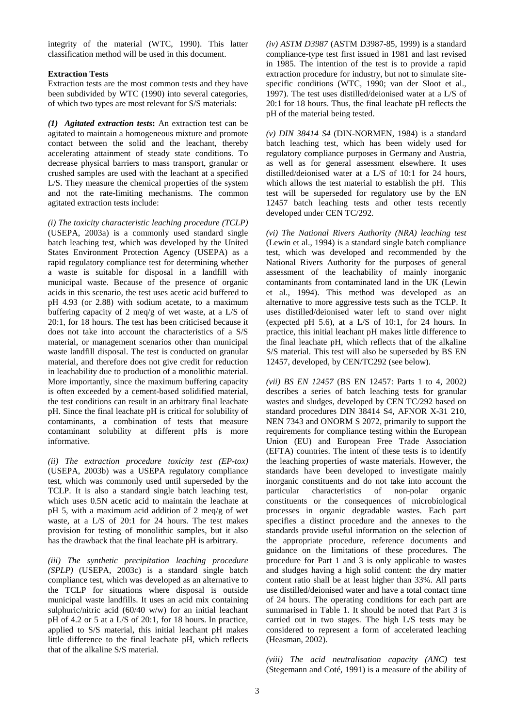integrity of the material (WTC, 1990). This latter classification method will be used in this document.

#### **Extraction Tests**

Extraction tests are the most common tests and they have been subdivided by WTC (1990) into several categories, of which two types are most relevant for S/S materials:

*(1) Agitated extraction tests***:** An extraction test can be agitated to maintain a homogeneous mixture and promote contact between the solid and the leachant, thereby accelerating attainment of steady state conditions. To decrease physical barriers to mass transport, granular or crushed samples are used with the leachant at a specified L/S. They measure the chemical properties of the system and not the rate-limiting mechanisms. The common agitated extraction tests include:

*(i) The toxicity characteristic leaching procedure (TCLP)* (USEPA, 2003a) is a commonly used standard single batch leaching test, which was developed by the United States Environment Protection Agency (USEPA) as a rapid regulatory compliance test for determining whether a waste is suitable for disposal in a landfill with municipal waste. Because of the presence of organic acids in this scenario, the test uses acetic acid buffered to pH 4.93 (or 2.88) with sodium acetate, to a maximum buffering capacity of 2 meq/g of wet waste, at a L/S of 20:1, for 18 hours. The test has been criticised because it does not take into account the characteristics of a S/S material, or management scenarios other than municipal waste landfill disposal. The test is conducted on granular material, and therefore does not give credit for reduction in leachability due to production of a monolithic material. More importantly, since the maximum buffering capacity is often exceeded by a cement-based solidified material, the test conditions can result in an arbitrary final leachate pH. Since the final leachate pH is critical for solubility of contaminants, a combination of tests that measure contaminant solubility at different pHs is more informative.

*(ii) The extraction procedure toxicity test (EP-tox)* (USEPA, 2003b) was a USEPA regulatory compliance test, which was commonly used until superseded by the TCLP. It is also a standard single batch leaching test, which uses 0.5N acetic acid to maintain the leachate at pH 5, with a maximum acid addition of 2 meq/g of wet waste, at a L/S of 20:1 for 24 hours. The test makes provision for testing of monolithic samples, but it also has the drawback that the final leachate pH is arbitrary.

*(iii) The synthetic precipitation leaching procedure (SPLP)* (USEPA, 2003c) is a standard single batch compliance test, which was developed as an alternative to the TCLP for situations where disposal is outside municipal waste landfills. It uses an acid mix containing sulphuric/nitric acid (60/40 w/w) for an initial leachant pH of 4.2 or 5 at a L/S of 20:1, for 18 hours. In practice, applied to S/S material, this initial leachant pH makes little difference to the final leachate pH, which reflects that of the alkaline S/S material.

*(iv) ASTM D3987* (ASTM D3987-85, 1999) is a standard compliance-type test first issued in 1981 and last revised in 1985. The intention of the test is to provide a rapid extraction procedure for industry, but not to simulate sitespecific conditions (WTC, 1990; van der Sloot et al., 1997). The test uses distilled/deionised water at a L/S of 20:1 for 18 hours. Thus, the final leachate pH reflects the pH of the material being tested.

*(v) DIN 38414 S4* (DIN-NORMEN, 1984) is a standard batch leaching test, which has been widely used for regulatory compliance purposes in Germany and Austria, as well as for general assessment elsewhere. It uses distilled/deionised water at a L/S of 10:1 for 24 hours, which allows the test material to establish the pH. This test will be superseded for regulatory use by the EN 12457 batch leaching tests and other tests recently developed under CEN TC/292.

*(vi) The National Rivers Authority (NRA) leaching test* (Lewin et al., 1994) is a standard single batch compliance test, which was developed and recommended by the National Rivers Authority for the purposes of general assessment of the leachability of mainly inorganic contaminants from contaminated land in the UK (Lewin et al., 1994). This method was developed as an alternative to more aggressive tests such as the TCLP. It uses distilled/deionised water left to stand over night (expected pH 5.6), at a L/S of 10:1, for 24 hours. In practice, this initial leachant pH makes little difference to the final leachate pH, which reflects that of the alkaline S/S material. This test will also be superseded by BS EN 12457, developed, by CEN/TC292 (see below).

*(vii) BS EN 12457* (BS EN 12457: Parts 1 to 4, 2002*)* describes a series of batch leaching tests for granular wastes and sludges, developed by CEN TC/292 based on standard procedures DIN 38414 S4, AFNOR X-31 210, NEN 7343 and ONORM S 2072, primarily to support the requirements for compliance testing within the European Union (EU) and European Free Trade Association (EFTA) countries. The intent of these tests is to identify the leaching properties of waste materials. However, the standards have been developed to investigate mainly inorganic constituents and do not take into account the particular characteristics of non-polar organic constituents or the consequences of microbiological processes in organic degradable wastes. Each part specifies a distinct procedure and the annexes to the standards provide useful information on the selection of the appropriate procedure, reference documents and guidance on the limitations of these procedures. The procedure for Part 1 and 3 is only applicable to wastes and sludges having a high solid content: the dry matter content ratio shall be at least higher than 33%. All parts use distilled/deionised water and have a total contact time of 24 hours. The operating conditions for each part are summarised in Table 1. It should be noted that Part 3 is carried out in two stages. The high L/S tests may be considered to represent a form of accelerated leaching (Heasman, 2002).

*(viii) The acid neutralisation capacity (ANC)* test (Stegemann and Coté, 1991) is a measure of the ability of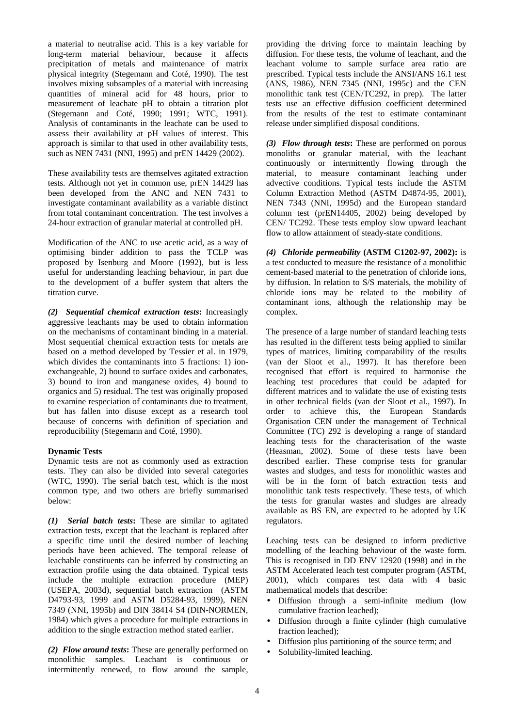a material to neutralise acid. This is a key variable for long-term material behaviour, because it affects precipitation of metals and maintenance of matrix physical integrity (Stegemann and Coté, 1990). The test involves mixing subsamples of a material with increasing quantities of mineral acid for 48 hours, prior to measurement of leachate pH to obtain a titration plot (Stegemann and Coté, 1990; 1991; WTC, 1991). Analysis of contaminants in the leachate can be used to assess their availability at pH values of interest. This approach is similar to that used in other availability tests, such as NEN 7431 (NNI, 1995) and prEN 14429 (2002).

These availability tests are themselves agitated extraction tests. Although not yet in common use, prEN 14429 has been developed from the ANC and NEN 7431 to investigate contaminant availability as a variable distinct from total contaminant concentration. The test involves a 24-hour extraction of granular material at controlled pH.

Modification of the ANC to use acetic acid, as a way of optimising binder addition to pass the TCLP was proposed by Isenburg and Moore (1992), but is less useful for understanding leaching behaviour, in part due to the development of a buffer system that alters the titration curve.

*(2) Sequential chemical extraction tests***:** Increasingly aggressive leachants may be used to obtain information on the mechanisms of contaminant binding in a material. Most sequential chemical extraction tests for metals are based on a method developed by Tessier et al. in 1979, which divides the contaminants into 5 fractions: 1) ionexchangeable, 2) bound to surface oxides and carbonates, 3) bound to iron and manganese oxides, 4) bound to organics and 5) residual. The test was originally proposed to examine respeciation of contaminants due to treatment, but has fallen into disuse except as a research tool because of concerns with definition of speciation and reproducibility (Stegemann and Coté, 1990).

#### **Dynamic Tests**

Dynamic tests are not as commonly used as extraction tests. They can also be divided into several categories (WTC, 1990). The serial batch test, which is the most common type, and two others are briefly summarised below:

*(1) Serial batch tests***:** These are similar to agitated extraction tests, except that the leachant is replaced after a specific time until the desired number of leaching periods have been achieved. The temporal release of leachable constituents can be inferred by constructing an extraction profile using the data obtained. Typical tests include the multiple extraction procedure (MEP) (USEPA, 2003d), sequential batch extraction (ASTM D4793-93, 1999 and ASTM D5284-93, 1999), NEN 7349 (NNI, 1995b) and DIN 38414 S4 (DIN-NORMEN, 1984) which gives a procedure for multiple extractions in addition to the single extraction method stated earlier.

*(2) Flow around tests***:** These are generally performed on monolithic samples. Leachant is continuous or intermittently renewed, to flow around the sample,

providing the driving force to maintain leaching by diffusion. For these tests, the volume of leachant, and the leachant volume to sample surface area ratio are prescribed. Typical tests include the ANSI/ANS 16.1 test (ANS, 1986), NEN 7345 (NNI, 1995c) and the CEN monolithic tank test (CEN/TC292, in prep). The latter tests use an effective diffusion coefficient determined from the results of the test to estimate contaminant release under simplified disposal conditions.

*(3) Flow through tests***:** These are performed on porous monoliths or granular material, with the leachant continuously or intermittently flowing through the material, to measure contaminant leaching under advective conditions. Typical tests include the ASTM Column Extraction Method (ASTM D4874-95, 2001), NEN 7343 (NNI, 1995d) and the European standard column test (prEN14405, 2002) being developed by CEN/ TC292. These tests employ slow upward leachant flow to allow attainment of steady-state conditions.

*(4) Chloride permeability* **(ASTM C1202-97, 2002):** is a test conducted to measure the resistance of a monolithic cement-based material to the penetration of chloride ions, by diffusion. In relation to S/S materials, the mobility of chloride ions may be related to the mobility of contaminant ions, although the relationship may be complex.

The presence of a large number of standard leaching tests has resulted in the different tests being applied to similar types of matrices, limiting comparability of the results (van der Sloot et al., 1997). It has therefore been recognised that effort is required to harmonise the leaching test procedures that could be adapted for different matrices and to validate the use of existing tests in other technical fields (van der Sloot et al., 1997). In order to achieve this, the European Standards Organisation CEN under the management of Technical Committee (TC) 292 is developing a range of standard leaching tests for the characterisation of the waste (Heasman, 2002). Some of these tests have been described earlier. These comprise tests for granular wastes and sludges, and tests for monolithic wastes and will be in the form of batch extraction tests and monolithic tank tests respectively. These tests, of which the tests for granular wastes and sludges are already available as BS EN, are expected to be adopted by UK regulators.

Leaching tests can be designed to inform predictive modelling of the leaching behaviour of the waste form. This is recognised in DD ENV 12920 (1998) and in the ASTM Accelerated leach test computer program (ASTM, 2001), which compares test data with 4 basic mathematical models that describe:

- Diffusion through a semi-infinite medium (low cumulative fraction leached);
- Diffusion through a finite cylinder (high cumulative fraction leached);
- Diffusion plus partitioning of the source term; and
- Solubility-limited leaching.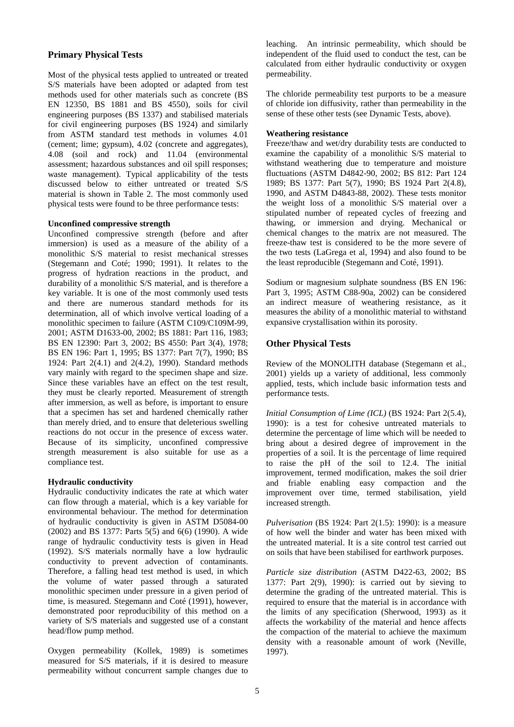### **Primary Physical Tests**

Most of the physical tests applied to untreated or treated S/S materials have been adopted or adapted from test methods used for other materials such as concrete (BS EN 12350, BS 1881 and BS 4550), soils for civil engineering purposes (BS 1337) and stabilised materials for civil engineering purposes (BS 1924) and similarly from ASTM standard test methods in volumes 4.01 (cement; lime; gypsum), 4.02 (concrete and aggregates), 4.08 (soil and rock) and 11.04 (environmental assessment; hazardous substances and oil spill responses; waste management). Typical applicability of the tests discussed below to either untreated or treated S/S material is shown in Table 2. The most commonly used physical tests were found to be three performance tests:

#### **Unconfined compressive strength**

Unconfined compressive strength (before and after immersion) is used as a measure of the ability of a monolithic S/S material to resist mechanical stresses (Stegemann and Coté; 1990; 1991). It relates to the progress of hydration reactions in the product, and durability of a monolithic S/S material, and is therefore a key variable. It is one of the most commonly used tests and there are numerous standard methods for its determination, all of which involve vertical loading of a monolithic specimen to failure (ASTM C109/C109M-99, 2001; ASTM D1633-00, 2002; BS 1881: Part 116, 1983; BS EN 12390: Part 3, 2002; BS 4550: Part 3(4), 1978; BS EN 196: Part 1, 1995; BS 1377: Part 7(7), 1990; BS 1924: Part 2(4.1) and 2(4.2), 1990). Standard methods vary mainly with regard to the specimen shape and size. Since these variables have an effect on the test result, they must be clearly reported. Measurement of strength after immersion, as well as before, is important to ensure that a specimen has set and hardened chemically rather than merely dried, and to ensure that deleterious swelling reactions do not occur in the presence of excess water. Because of its simplicity, unconfined compressive strength measurement is also suitable for use as a compliance test.

### **Hydraulic conductivity**

Hydraulic conductivity indicates the rate at which water can flow through a material, which is a key variable for environmental behaviour. The method for determination of hydraulic conductivity is given in ASTM D5084-00 (2002) and BS 1377: Parts 5(5) and 6(6) (1990). A wide range of hydraulic conductivity tests is given in Head (1992). S/S materials normally have a low hydraulic conductivity to prevent advection of contaminants. Therefore, a falling head test method is used, in which the volume of water passed through a saturated monolithic specimen under pressure in a given period of time, is measured. Stegemann and Coté (1991), however, demonstrated poor reproducibility of this method on a variety of S/S materials and suggested use of a constant head/flow pump method.

Oxygen permeability (Kollek, 1989) is sometimes measured for S/S materials, if it is desired to measure permeability without concurrent sample changes due to

leaching. An intrinsic permeability, which should be independent of the fluid used to conduct the test, can be calculated from either hydraulic conductivity or oxygen permeability.

The chloride permeability test purports to be a measure of chloride ion diffusivity, rather than permeability in the sense of these other tests (see Dynamic Tests, above).

#### **Weathering resistance**

Freeze/thaw and wet/dry durability tests are conducted to examine the capability of a monolithic S/S material to withstand weathering due to temperature and moisture fluctuations (ASTM D4842-90, 2002; BS 812: Part 124 1989; BS 1377: Part 5(7), 1990; BS 1924 Part 2(4.8), 1990, and ASTM D4843-88, 2002). These tests monitor the weight loss of a monolithic S/S material over a stipulated number of repeated cycles of freezing and thawing, or immersion and drying. Mechanical or chemical changes to the matrix are not measured. The freeze-thaw test is considered to be the more severe of the two tests (LaGrega et al, 1994) and also found to be the least reproducible (Stegemann and Coté, 1991).

Sodium or magnesium sulphate soundness (BS EN 196: Part 3, 1995; ASTM C88-90a, 2002) can be considered an indirect measure of weathering resistance, as it measures the ability of a monolithic material to withstand expansive crystallisation within its porosity.

### **Other Physical Tests**

Review of the MONOLITH database (Stegemann et al., 2001) yields up a variety of additional, less commonly applied, tests, which include basic information tests and performance tests.

*Initial Consumption of Lime (ICL)* (BS 1924: Part 2(5.4), 1990): is a test for cohesive untreated materials to determine the percentage of lime which will be needed to bring about a desired degree of improvement in the properties of a soil. It is the percentage of lime required to raise the pH of the soil to 12.4. The initial improvement, termed modification, makes the soil drier and friable enabling easy compaction and the improvement over time, termed stabilisation, yield increased strength.

*Pulverisation* (BS 1924: Part 2(1.5): 1990): is a measure of how well the binder and water has been mixed with the untreated material. It is a site control test carried out on soils that have been stabilised for earthwork purposes.

*Particle size distribution* (ASTM D422-63, 2002; BS 1377: Part 2(9), 1990): is carried out by sieving to determine the grading of the untreated material. This is required to ensure that the material is in accordance with the limits of any specification (Sherwood, 1993) as it affects the workability of the material and hence affects the compaction of the material to achieve the maximum density with a reasonable amount of work (Neville, 1997).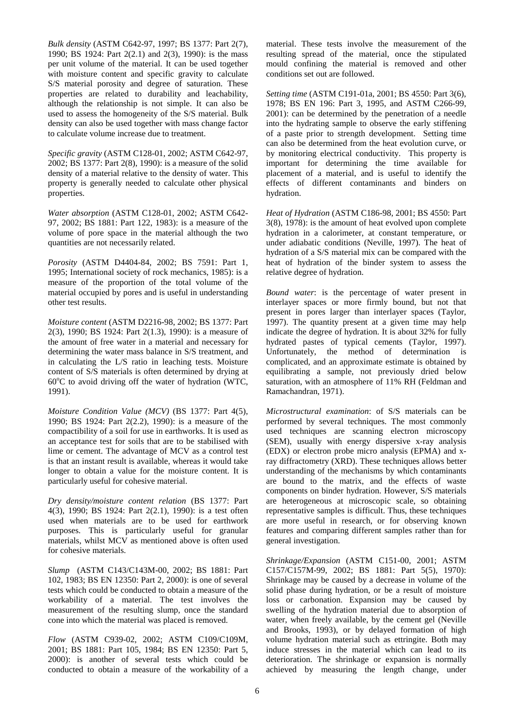*Bulk density* (ASTM C642-97, 1997; BS 1377: Part 2(7), 1990; BS 1924: Part 2(2.1) and 2(3), 1990): is the mass per unit volume of the material. It can be used together with moisture content and specific gravity to calculate S/S material porosity and degree of saturation. These properties are related to durability and leachability, although the relationship is not simple. It can also be used to assess the homogeneity of the S/S material. Bulk density can also be used together with mass change factor to calculate volume increase due to treatment.

*Specific gravity* (ASTM C128-01, 2002; ASTM C642-97, 2002; BS 1377: Part 2(8), 1990): is a measure of the solid density of a material relative to the density of water. This property is generally needed to calculate other physical properties.

*Water absorption* (ASTM C128-01, 2002; ASTM C642- 97, 2002; BS 1881: Part 122, 1983): is a measure of the volume of pore space in the material although the two quantities are not necessarily related.

*Porosity* (ASTM D4404-84, 2002; BS 7591: Part 1, 1995; International society of rock mechanics, 1985): is a measure of the proportion of the total volume of the material occupied by pores and is useful in understanding other test results.

*Moisture content* (ASTM D2216-98, 2002; BS 1377: Part 2(3), 1990; BS 1924: Part 2(1.3), 1990): is a measure of the amount of free water in a material and necessary for determining the water mass balance in S/S treatment, and in calculating the L/S ratio in leaching tests. Moisture content of S/S materials is often determined by drying at 60°C to avoid driving off the water of hydration (WTC, 1991).

*Moisture Condition Value (MCV)* (BS 1377: Part 4(5), 1990; BS 1924: Part 2(2.2), 1990): is a measure of the compactibility of a soil for use in earthworks. It is used as an acceptance test for soils that are to be stabilised with lime or cement. The advantage of MCV as a control test is that an instant result is available, whereas it would take longer to obtain a value for the moisture content. It is particularly useful for cohesive material.

*Dry density/moisture content relation* (BS 1377: Part 4(3), 1990; BS 1924: Part 2(2.1), 1990): is a test often used when materials are to be used for earthwork purposes. This is particularly useful for granular materials, whilst MCV as mentioned above is often used for cohesive materials.

*Slump* (ASTM C143/C143M-00, 2002; BS 1881: Part 102, 1983; BS EN 12350: Part 2, 2000): is one of several tests which could be conducted to obtain a measure of the workability of a material. The test involves the measurement of the resulting slump, once the standard cone into which the material was placed is removed.

*Flow* (ASTM C939-02, 2002; ASTM C109/C109M, 2001; BS 1881: Part 105, 1984; BS EN 12350: Part 5, 2000): is another of several tests which could be conducted to obtain a measure of the workability of a material. These tests involve the measurement of the resulting spread of the material, once the stipulated mould confining the material is removed and other conditions set out are followed.

*Setting time* (ASTM C191-01a, 2001; BS 4550: Part 3(6), 1978; BS EN 196: Part 3, 1995, and ASTM C266-99, 2001): can be determined by the penetration of a needle into the hydrating sample to observe the early stiffening of a paste prior to strength development. Setting time can also be determined from the heat evolution curve, or by monitoring electrical conductivity. This property is important for determining the time available for placement of a material, and is useful to identify the effects of different contaminants and binders on hydration.

*Heat of Hydration* (ASTM C186-98, 2001; BS 4550: Part 3(8), 1978): is the amount of heat evolved upon complete hydration in a calorimeter, at constant temperature, or under adiabatic conditions (Neville, 1997). The heat of hydration of a S/S material mix can be compared with the heat of hydration of the binder system to assess the relative degree of hydration.

*Bound water*: is the percentage of water present in interlayer spaces or more firmly bound, but not that present in pores larger than interlayer spaces (Taylor, 1997). The quantity present at a given time may help indicate the degree of hydration. It is about 32% for fully hydrated pastes of typical cements (Taylor, 1997). Unfortunately, the method of determination is complicated, and an approximate estimate is obtained by equilibrating a sample, not previously dried below saturation, with an atmosphere of 11% RH (Feldman and Ramachandran, 1971).

*Microstructural examination*: of S/S materials can be performed by several techniques. The most commonly used techniques are scanning electron microscopy (SEM), usually with energy dispersive x-ray analysis (EDX) or electron probe micro analysis (EPMA) and xray diffractometry (XRD). These techniques allows better understanding of the mechanisms by which contaminants are bound to the matrix, and the effects of waste components on binder hydration. However, S/S materials are heterogeneous at microscopic scale, so obtaining representative samples is difficult. Thus, these techniques are more useful in research, or for observing known features and comparing different samples rather than for general investigation.

*Shrinkage/Expansion* (ASTM C151-00, 2001; ASTM C157/C157M-99, 2002; BS 1881: Part 5(5), 1970): Shrinkage may be caused by a decrease in volume of the solid phase during hydration, or be a result of moisture loss or carbonation. Expansion may be caused by swelling of the hydration material due to absorption of water, when freely available, by the cement gel (Neville and Brooks, 1993), or by delayed formation of high volume hydration material such as ettringite. Both may induce stresses in the material which can lead to its deterioration. The shrinkage or expansion is normally achieved by measuring the length change, under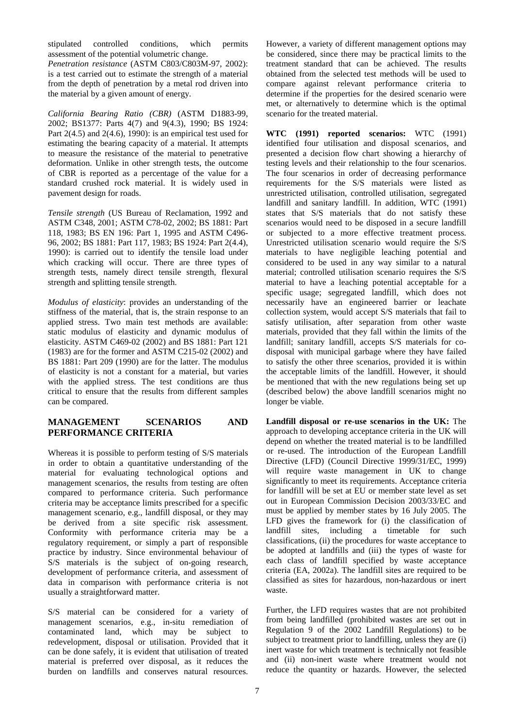stipulated controlled conditions, which permits assessment of the potential volumetric change.

*Penetration resistance* (ASTM C803/C803M-97, 2002): is a test carried out to estimate the strength of a material from the depth of penetration by a metal rod driven into the material by a given amount of energy.

*California Bearing Ratio (CBR)* (ASTM D1883-99, 2002; BS1377: Parts 4(7) and 9(4.3), 1990; BS 1924: Part  $2(4.5)$  and  $2(4.6)$ , 1990): is an empirical test used for estimating the bearing capacity of a material. It attempts to measure the resistance of the material to penetrative deformation. Unlike in other strength tests, the outcome of CBR is reported as a percentage of the value for a standard crushed rock material. It is widely used in pavement design for roads.

*Tensile strength* (US Bureau of Reclamation, 1992 and ASTM C348, 2001; ASTM C78-02, 2002; BS 1881: Part 118, 1983; BS EN 196: Part 1, 1995 and ASTM C496- 96, 2002; BS 1881: Part 117, 1983; BS 1924: Part 2(4.4), 1990): is carried out to identify the tensile load under which cracking will occur. There are three types of strength tests, namely direct tensile strength, flexural strength and splitting tensile strength.

*Modulus of elasticity*: provides an understanding of the stiffness of the material, that is, the strain response to an applied stress. Two main test methods are available: static modulus of elasticity and dynamic modulus of elasticity. ASTM C469-02 (2002) and BS 1881: Part 121 (1983) are for the former and ASTM C215-02 (2002) and BS 1881: Part 209 (1990) are for the latter. The modulus of elasticity is not a constant for a material, but varies with the applied stress. The test conditions are thus critical to ensure that the results from different samples can be compared.

# **MANAGEMENT SCENARIOS AND PERFORMANCE CRITERIA**

Whereas it is possible to perform testing of S/S materials in order to obtain a quantitative understanding of the material for evaluating technological options and management scenarios, the results from testing are often compared to performance criteria. Such performance criteria may be acceptance limits prescribed for a specific management scenario, e.g., landfill disposal, or they may be derived from a site specific risk assessment. Conformity with performance criteria may be a regulatory requirement, or simply a part of responsible practice by industry. Since environmental behaviour of S/S materials is the subject of on-going research, development of performance criteria, and assessment of data in comparison with performance criteria is not usually a straightforward matter.

S/S material can be considered for a variety of management scenarios, e.g., in-situ remediation of contaminated land, which may be subject to redevelopment, disposal or utilisation. Provided that it can be done safely, it is evident that utilisation of treated material is preferred over disposal, as it reduces the burden on landfills and conserves natural resources.

However, a variety of different management options may be considered, since there may be practical limits to the treatment standard that can be achieved. The results obtained from the selected test methods will be used to compare against relevant performance criteria to determine if the properties for the desired scenario were met, or alternatively to determine which is the optimal scenario for the treated material.

**WTC (1991) reported scenarios:** WTC (1991) identified four utilisation and disposal scenarios, and presented a decision flow chart showing a hierarchy of testing levels and their relationship to the four scenarios. The four scenarios in order of decreasing performance requirements for the S/S materials were listed as unrestricted utilisation, controlled utilisation, segregated landfill and sanitary landfill. In addition, WTC (1991) states that S/S materials that do not satisfy these scenarios would need to be disposed in a secure landfill or subjected to a more effective treatment process. Unrestricted utilisation scenario would require the S/S materials to have negligible leaching potential and considered to be used in any way similar to a natural material; controlled utilisation scenario requires the S/S material to have a leaching potential acceptable for a specific usage; segregated landfill, which does not necessarily have an engineered barrier or leachate collection system, would accept S/S materials that fail to satisfy utilisation, after separation from other waste materials, provided that they fall within the limits of the landfill; sanitary landfill, accepts S/S materials for codisposal with municipal garbage where they have failed to satisfy the other three scenarios, provided it is within the acceptable limits of the landfill. However, it should be mentioned that with the new regulations being set up (described below) the above landfill scenarios might no longer be viable.

**Landfill disposal or re-use scenarios in the UK:** The approach to developing acceptance criteria in the UK will depend on whether the treated material is to be landfilled or re-used. The introduction of the European Landfill Directive (LFD) (Council Directive 1999/31/EC, 1999) will require waste management in UK to change significantly to meet its requirements. Acceptance criteria for landfill will be set at EU or member state level as set out in European Commission Decision 2003/33/EC and must be applied by member states by 16 July 2005. The LFD gives the framework for (i) the classification of landfill sites, including a timetable for such classifications, (ii) the procedures for waste acceptance to be adopted at landfills and (iii) the types of waste for each class of landfill specified by waste acceptance criteria (EA, 2002a). The landfill sites are required to be classified as sites for hazardous, non-hazardous or inert waste.

Further, the LFD requires wastes that are not prohibited from being landfilled (prohibited wastes are set out in Regulation 9 of the 2002 Landfill Regulations) to be subject to treatment prior to landfilling, unless they are (i) inert waste for which treatment is technically not feasible and (ii) non-inert waste where treatment would not reduce the quantity or hazards. However, the selected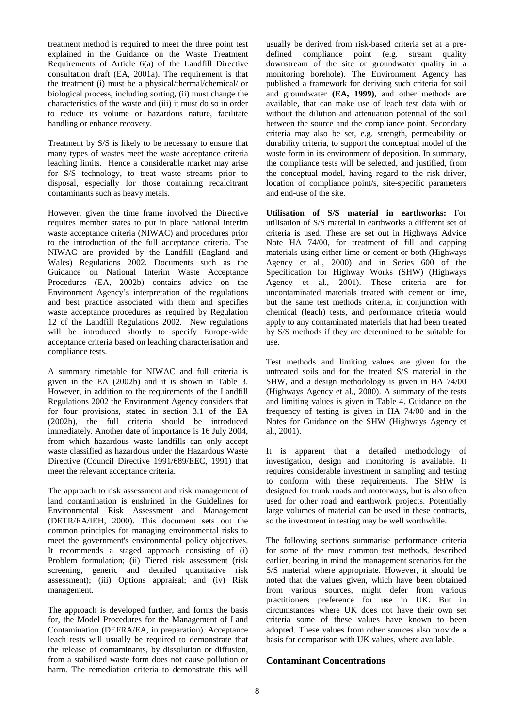treatment method is required to meet the three point test explained in the Guidance on the Waste Treatment Requirements of Article 6(a) of the Landfill Directive consultation draft (EA, 2001a). The requirement is that the treatment (i) must be a physical/thermal/chemical/ or biological process, including sorting, (ii) must change the characteristics of the waste and (iii) it must do so in order to reduce its volume or hazardous nature, facilitate handling or enhance recovery.

Treatment by S/S is likely to be necessary to ensure that many types of wastes meet the waste acceptance criteria leaching limits. Hence a considerable market may arise for S/S technology, to treat waste streams prior to disposal, especially for those containing recalcitrant contaminants such as heavy metals.

However, given the time frame involved the Directive requires member states to put in place national interim waste acceptance criteria (NIWAC) and procedures prior to the introduction of the full acceptance criteria. The NIWAC are provided by the Landfill (England and Wales) Regulations 2002. Documents such as the Guidance on National Interim Waste Acceptance Procedures (EA, 2002b) contains advice on the Environment Agency's interpretation of the regulations and best practice associated with them and specifies waste acceptance procedures as required by Regulation 12 of the Landfill Regulations 2002. New regulations will be introduced shortly to specify Europe-wide acceptance criteria based on leaching characterisation and compliance tests.

A summary timetable for NIWAC and full criteria is given in the EA (2002b) and it is shown in Table 3. However, in addition to the requirements of the Landfill Regulations 2002 the Environment Agency considers that for four provisions, stated in section 3.1 of the EA (2002b), the full criteria should be introduced immediately. Another date of importance is 16 July 2004, from which hazardous waste landfills can only accept waste classified as hazardous under the Hazardous Waste Directive (Council Directive 1991/689/EEC, 1991) that meet the relevant acceptance criteria.

The approach to risk assessment and risk management of land contamination is enshrined in the Guidelines for Environmental Risk Assessment and Management (DETR/EA/IEH, 2000). This document sets out the common principles for managing environmental risks to meet the government's environmental policy objectives. It recommends a staged approach consisting of (i) Problem formulation; (ii) Tiered risk assessment (risk screening, generic and detailed quantitative risk assessment); (iii) Options appraisal; and (iv) Risk management.

The approach is developed further, and forms the basis for, the Model Procedures for the Management of Land Contamination (DEFRA/EA, in preparation). Acceptance leach tests will usually be required to demonstrate that the release of contaminants, by dissolution or diffusion, from a stabilised waste form does not cause pollution or harm. The remediation criteria to demonstrate this will

usually be derived from risk-based criteria set at a predefined compliance point (e.g. stream quality downstream of the site or groundwater quality in a monitoring borehole). The Environment Agency has published a framework for deriving such criteria for soil and groundwater **(EA, 1999)**, and other methods are available, that can make use of leach test data with or without the dilution and attenuation potential of the soil between the source and the compliance point. Secondary criteria may also be set, e.g. strength, permeability or durability criteria, to support the conceptual model of the waste form in its environment of deposition. In summary, the compliance tests will be selected, and justified, from the conceptual model, having regard to the risk driver, location of compliance point/s, site-specific parameters and end-use of the site.

**Utilisation of S/S material in earthworks:** For utilisation of S/S material in earthworks a different set of criteria is used. These are set out in Highways Advice Note HA 74/00, for treatment of fill and capping materials using either lime or cement or both (Highways Agency et al., 2000) and in Series 600 of the Specification for Highway Works (SHW) (Highways Agency et al., 2001). These criteria are for uncontaminated materials treated with cement or lime, but the same test methods criteria, in conjunction with chemical (leach) tests, and performance criteria would apply to any contaminated materials that had been treated by S/S methods if they are determined to be suitable for use.

Test methods and limiting values are given for the untreated soils and for the treated S/S material in the SHW, and a design methodology is given in HA 74/00 (Highways Agency et al., 2000). A summary of the tests and limiting values is given in Table 4. Guidance on the frequency of testing is given in HA 74/00 and in the Notes for Guidance on the SHW (Highways Agency et al., 2001).

It is apparent that a detailed methodology of investigation, design and monitoring is available. It requires considerable investment in sampling and testing to conform with these requirements. The SHW is designed for trunk roads and motorways, but is also often used for other road and earthwork projects. Potentially large volumes of material can be used in these contracts, so the investment in testing may be well worthwhile.

The following sections summarise performance criteria for some of the most common test methods, described earlier, bearing in mind the management scenarios for the S/S material where appropriate. However, it should be noted that the values given, which have been obtained from various sources, might defer from various practitioners preference for use in UK. But in circumstances where UK does not have their own set criteria some of these values have known to been adopted. These values from other sources also provide a basis for comparison with UK values, where available.

### **Contaminant Concentrations**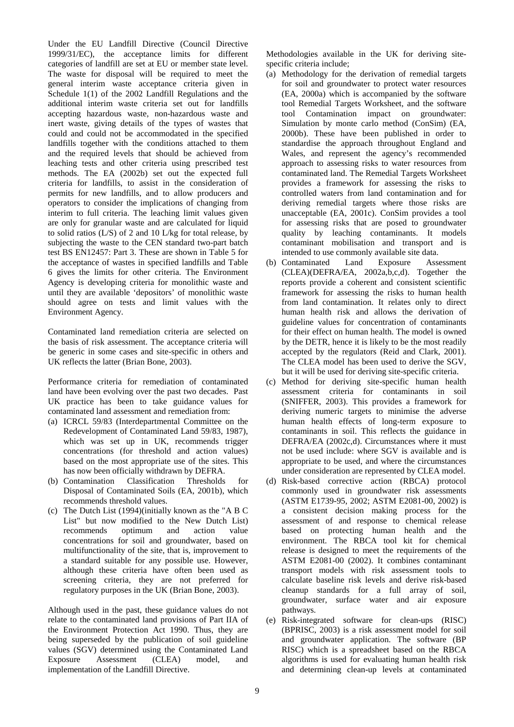Under the EU Landfill Directive (Council Directive 1999/31/EC), the acceptance limits for different categories of landfill are set at EU or member state level. The waste for disposal will be required to meet the general interim waste acceptance criteria given in Schedule 1(1) of the 2002 Landfill Regulations and the additional interim waste criteria set out for landfills accepting hazardous waste, non-hazardous waste and inert waste, giving details of the types of wastes that could and could not be accommodated in the specified landfills together with the conditions attached to them and the required levels that should be achieved from leaching tests and other criteria using prescribed test methods. The EA (2002b) set out the expected full criteria for landfills, to assist in the consideration of permits for new landfills, and to allow producers and operators to consider the implications of changing from interim to full criteria. The leaching limit values given are only for granular waste and are calculated for liquid to solid ratios (L/S) of 2 and 10 L/kg for total release, by subjecting the waste to the CEN standard two-part batch test BS EN12457: Part 3. These are shown in Table 5 for the acceptance of wastes in specified landfills and Table 6 gives the limits for other criteria. The Environment Agency is developing criteria for monolithic waste and until they are available 'depositors' of monolithic waste should agree on tests and limit values with the Environment Agency.

Contaminated land remediation criteria are selected on the basis of risk assessment. The acceptance criteria will be generic in some cases and site-specific in others and UK reflects the latter (Brian Bone, 2003).

Performance criteria for remediation of contaminated land have been evolving over the past two decades. Past UK practice has been to take guidance values for contaminated land assessment and remediation from:

- (a) ICRCL 59/83 (Interdepartmental Committee on the Redevelopment of Contaminated Land 59/83, 1987), which was set up in UK, recommends trigger concentrations (for threshold and action values) based on the most appropriate use of the sites. This has now been officially withdrawn by DEFRA.
- (b) Contamination Classification Thresholds for Disposal of Contaminated Soils (EA, 2001b), which recommends threshold values.
- (c) The Dutch List (1994)(initially known as the "A B C List" but now modified to the New Dutch List) recommends optimum and action value concentrations for soil and groundwater, based on multifunctionality of the site, that is, improvement to a standard suitable for any possible use. However, although these criteria have often been used as screening criteria, they are not preferred for regulatory purposes in the UK (Brian Bone, 2003).

Although used in the past, these guidance values do not relate to the contaminated land provisions of Part IIA of the Environment Protection Act 1990. Thus, they are being superseded by the publication of soil guideline values (SGV) determined using the Contaminated Land Exposure Assessment (CLEA) model, and implementation of the Landfill Directive.

Methodologies available in the UK for deriving sitespecific criteria include;

- (a) Methodology for the derivation of remedial targets for soil and groundwater to protect water resources (EA, 2000a) which is accompanied by the software tool Remedial Targets Worksheet, and the software tool Contamination impact on groundwater: Simulation by monte carlo method (ConSim) (EA, 2000b). These have been published in order to standardise the approach throughout England and Wales, and represent the agency's recommended approach to assessing risks to water resources from contaminated land. The Remedial Targets Worksheet provides a framework for assessing the risks to controlled waters from land contamination and for deriving remedial targets where those risks are unacceptable (EA, 2001c). ConSim provides a tool for assessing risks that are posed to groundwater quality by leaching contaminants. It models contaminant mobilisation and transport and is intended to use commonly available site data.
- (b) Contaminated Land Exposure Assessment (CLEA)(DEFRA/EA, 2002a,b,c,d). Together the reports provide a coherent and consistent scientific framework for assessing the risks to human health from land contamination. It relates only to direct human health risk and allows the derivation of guideline values for concentration of contaminants for their effect on human health. The model is owned by the DETR, hence it is likely to be the most readily accepted by the regulators (Reid and Clark, 2001). The CLEA model has been used to derive the SGV, but it will be used for deriving site-specific criteria.
- (c) Method for deriving site-specific human health assessment criteria for contaminants in soil (SNIFFER, 2003). This provides a framework for deriving numeric targets to minimise the adverse human health effects of long-term exposure to contaminants in soil. This reflects the guidance in DEFRA/EA (2002c,d). Circumstances where it must not be used include: where SGV is available and is appropriate to be used, and where the circumstances under consideration are represented by CLEA model.
- (d) Risk-based corrective action (RBCA) protocol commonly used in groundwater risk assessments (ASTM E1739-95, 2002; ASTM E2081-00, 2002) is a consistent decision making process for the assessment of and response to chemical release based on protecting human health and the environment. The RBCA tool kit for chemical release is designed to meet the requirements of the ASTM E2081-00 (2002). It combines contaminant transport models with risk assessment tools to calculate baseline risk levels and derive risk-based cleanup standards for a full array of soil, groundwater, surface water and air exposure
- pathways. (e) Risk-integrated software for clean-ups (RISC) (BPRISC, 2003) is a risk assessment model for soil and groundwater application. The software (BP RISC) which is a spreadsheet based on the RBCA algorithms is used for evaluating human health risk and determining clean-up levels at contaminated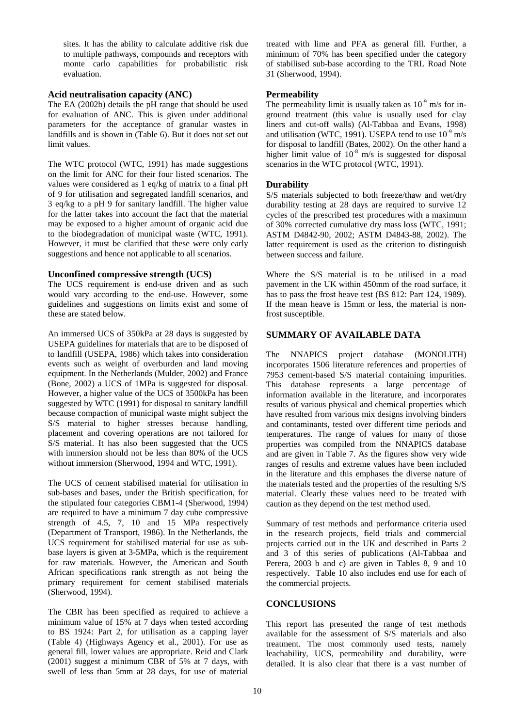sites. It has the ability to calculate additive risk due to multiple pathways, compounds and receptors with monte carlo capabilities for probabilistic risk evaluation.

### **Acid neutralisation capacity (ANC)**

The EA (2002b) details the pH range that should be used for evaluation of ANC. This is given under additional parameters for the acceptance of granular wastes in landfills and is shown in (Table 6). But it does not set out limit values.

The WTC protocol (WTC, 1991) has made suggestions on the limit for ANC for their four listed scenarios. The values were considered as 1 eq/kg of matrix to a final pH of 9 for utilisation and segregated landfill scenarios, and 3 eq/kg to a pH 9 for sanitary landfill. The higher value for the latter takes into account the fact that the material may be exposed to a higher amount of organic acid due to the biodegradation of municipal waste (WTC, 1991). However, it must be clarified that these were only early suggestions and hence not applicable to all scenarios.

### **Unconfined compressive strength (UCS)**

The UCS requirement is end-use driven and as such would vary according to the end-use. However, some guidelines and suggestions on limits exist and some of these are stated below.

An immersed UCS of 350kPa at 28 days is suggested by USEPA guidelines for materials that are to be disposed of to landfill (USEPA, 1986) which takes into consideration events such as weight of overburden and land moving equipment. In the Netherlands (Mulder, 2002) and France (Bone, 2002) a UCS of 1MPa is suggested for disposal. However, a higher value of the UCS of 3500kPa has been suggested by WTC (1991) for disposal to sanitary landfill because compaction of municipal waste might subject the S/S material to higher stresses because handling, placement and covering operations are not tailored for S/S material. It has also been suggested that the UCS with immersion should not be less than 80% of the UCS without immersion (Sherwood, 1994 and WTC, 1991).

The UCS of cement stabilised material for utilisation in sub-bases and bases, under the British specification, for the stipulated four categories CBM1-4 (Sherwood, 1994) are required to have a minimum 7 day cube compressive strength of 4.5, 7, 10 and 15 MPa respectively (Department of Transport, 1986). In the Netherlands, the UCS requirement for stabilised material for use as subbase layers is given at 3-5MPa, which is the requirement for raw materials. However, the American and South African specifications rank strength as not being the primary requirement for cement stabilised materials (Sherwood, 1994).

The CBR has been specified as required to achieve a minimum value of 15% at 7 days when tested according to BS 1924: Part 2, for utilisation as a capping layer (Table 4) (Highways Agency et al., 2001). For use as general fill, lower values are appropriate. Reid and Clark (2001) suggest a minimum CBR of 5% at 7 days, with swell of less than 5mm at 28 days, for use of material

treated with lime and PFA as general fill. Further, a minimum of 70% has been specified under the category of stabilised sub-base according to the TRL Road Note 31 (Sherwood, 1994).

# **Permeability**

The permeability limit is usually taken as  $10^{-9}$  m/s for inground treatment (this value is usually used for clay liners and cut-off walls) (Al-Tabbaa and Evans, 1998) and utilisation (WTC, 1991). USEPA tend to use  $10^{-9}$  m/s for disposal to landfill (Bates, 2002). On the other hand a higher limit value of  $10^{-8}$  m/s is suggested for disposal scenarios in the WTC protocol (WTC, 1991).

# **Durability**

S/S materials subjected to both freeze/thaw and wet/dry durability testing at 28 days are required to survive 12 cycles of the prescribed test procedures with a maximum of 30% corrected cumulative dry mass loss (WTC, 1991; ASTM D4842-90, 2002; ASTM D4843-88, 2002). The latter requirement is used as the criterion to distinguish between success and failure.

Where the S/S material is to be utilised in a road pavement in the UK within 450mm of the road surface, it has to pass the frost heave test (BS 812: Part 124, 1989). If the mean heave is 15mm or less, the material is nonfrost susceptible.

# **SUMMARY OF AVAILABLE DATA**

The NNAPICS project database (MONOLITH) incorporates 1506 literature references and properties of 7953 cement-based S/S material containing impurities. This database represents a large percentage of information available in the literature, and incorporates results of various physical and chemical properties which have resulted from various mix designs involving binders and contaminants, tested over different time periods and temperatures. The range of values for many of those properties was compiled from the NNAPICS database and are given in Table 7. As the figures show very wide ranges of results and extreme values have been included in the literature and this emphases the diverse nature of the materials tested and the properties of the resulting S/S material. Clearly these values need to be treated with caution as they depend on the test method used.

Summary of test methods and performance criteria used in the research projects, field trials and commercial projects carried out in the UK and described in Parts 2 and 3 of this series of publications (Al-Tabbaa and Perera, 2003 b and c) are given in Tables 8, 9 and 10 respectively. Table 10 also includes end use for each of the commercial projects.

### **CONCLUSIONS**

This report has presented the range of test methods available for the assessment of S/S materials and also treatment. The most commonly used tests, namely leachability, UCS, permeability and durability, were detailed. It is also clear that there is a vast number of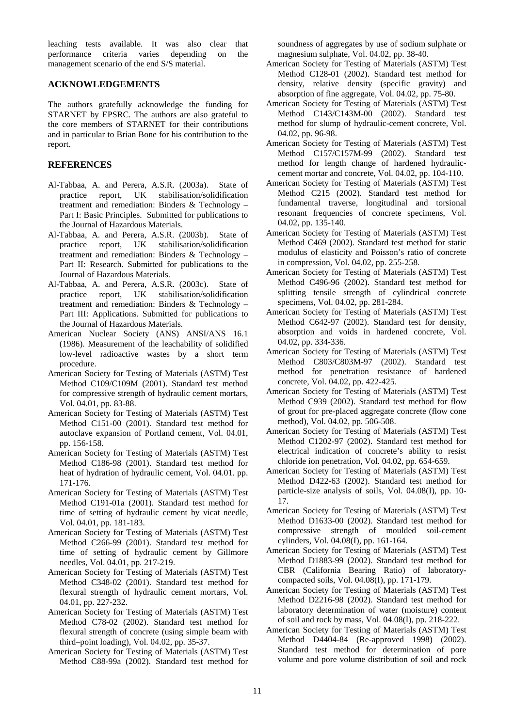leaching tests available. It was also clear that performance criteria varies depending on the management scenario of the end S/S material.

# **ACKNOWLEDGEMENTS**

The authors gratefully acknowledge the funding for STARNET by EPSRC. The authors are also grateful to the core members of STARNET for their contributions and in particular to Brian Bone for his contribution to the report.

# **REFERENCES**

- Al-Tabbaa, A. and Perera, A.S.R. (2003a). State of practice report, UK stabilisation/solidification treatment and remediation: Binders & Technology – Part I: Basic Principles. Submitted for publications to the Journal of Hazardous Materials.
- Al-Tabbaa, A. and Perera, A.S.R. (2003b). State of practice report, UK stabilisation/solidification treatment and remediation: Binders & Technology – Part II: Research. Submitted for publications to the Journal of Hazardous Materials.
- Al-Tabbaa, A. and Perera, A.S.R. (2003c). State of practice report, UK stabilisation/solidification treatment and remediation: Binders & Technology – Part III: Applications. Submitted for publications to the Journal of Hazardous Materials.
- American Nuclear Society (ANS) ANSI/ANS 16.1 (1986). Measurement of the leachability of solidified low-level radioactive wastes by a short term procedure.
- American Society for Testing of Materials (ASTM) Test Method C109/C109M (2001). Standard test method for compressive strength of hydraulic cement mortars, Vol. 04.01, pp. 83-88.
- American Society for Testing of Materials (ASTM) Test Method C151-00 (2001). Standard test method for autoclave expansion of Portland cement, Vol. 04.01, pp. 156-158.
- American Society for Testing of Materials (ASTM) Test Method C186-98 (2001). Standard test method for heat of hydration of hydraulic cement, Vol. 04.01. pp. 171-176.
- American Society for Testing of Materials (ASTM) Test Method C191-01a (2001). Standard test method for time of setting of hydraulic cement by vicat needle, Vol. 04.01, pp. 181-183.
- American Society for Testing of Materials (ASTM) Test Method C266-99 (2001). Standard test method for time of setting of hydraulic cement by Gillmore needles, Vol. 04.01, pp. 217-219.
- American Society for Testing of Materials (ASTM) Test Method C348-02 (2001). Standard test method for flexural strength of hydraulic cement mortars, Vol. 04.01, pp. 227-232.
- American Society for Testing of Materials (ASTM) Test Method C78-02 (2002). Standard test method for flexural strength of concrete (using simple beam with third–point loading), Vol. 04.02, pp. 35-37.
- American Society for Testing of Materials (ASTM) Test Method C88-99a (2002). Standard test method for

soundness of aggregates by use of sodium sulphate or magnesium sulphate, Vol. 04.02, pp. 38-40.

- American Society for Testing of Materials (ASTM) Test Method C128-01 (2002). Standard test method for density, relative density (specific gravity) and absorption of fine aggregate, Vol. 04.02, pp. 75-80.
- American Society for Testing of Materials (ASTM) Test Method C143/C143M-00 (2002). Standard test method for slump of hydraulic-cement concrete, Vol. 04.02, pp. 96-98.
- American Society for Testing of Materials (ASTM) Test Method C157/C157M-99 (2002). Standard test method for length change of hardened hydrauliccement mortar and concrete, Vol. 04.02, pp. 104-110.
- American Society for Testing of Materials (ASTM) Test Method C215 (2002). Standard test method for fundamental traverse, longitudinal and torsional resonant frequencies of concrete specimens, Vol. 04.02, pp. 135-140.
- American Society for Testing of Materials (ASTM) Test Method C469 (2002). Standard test method for static modulus of elasticity and Poisson's ratio of concrete in compression, Vol. 04.02, pp. 255-258.
- American Society for Testing of Materials (ASTM) Test Method C496-96 (2002). Standard test method for splitting tensile strength of cylindrical concrete specimens, Vol. 04.02, pp. 281-284.
- American Society for Testing of Materials (ASTM) Test Method C642-97 (2002). Standard test for density, absorption and voids in hardened concrete, Vol. 04.02, pp. 334-336.
- American Society for Testing of Materials (ASTM) Test Method C803/C803M-97 (2002). Standard test method for penetration resistance of hardened concrete, Vol. 04.02, pp. 422-425.
- American Society for Testing of Materials (ASTM) Test Method C939 (2002). Standard test method for flow of grout for pre-placed aggregate concrete (flow cone method), Vol. 04.02, pp. 506-508.
- American Society for Testing of Materials (ASTM) Test Method C1202-97 (2002). Standard test method for electrical indication of concrete's ability to resist chloride ion penetration, Vol. 04.02, pp. 654-659.
- American Society for Testing of Materials (ASTM) Test Method D422-63 (2002). Standard test method for particle-size analysis of soils, Vol. 04.08(I), pp. 10- 17.
- American Society for Testing of Materials (ASTM) Test Method D1633-00 (2002). Standard test method for compressive strength of moulded soil-cement cylinders, Vol. 04.08(I), pp. 161-164.
- American Society for Testing of Materials (ASTM) Test Method D1883-99 (2002). Standard test method for CBR (California Bearing Ratio) of laboratorycompacted soils, Vol. 04.08(I), pp. 171-179.
- American Society for Testing of Materials (ASTM) Test Method D2216-98 (2002). Standard test method for laboratory determination of water (moisture) content of soil and rock by mass, Vol. 04.08(I), pp. 218-222.
- American Society for Testing of Materials (ASTM) Test Method D4404-84 (Re-approved 1998) (2002). Standard test method for determination of pore volume and pore volume distribution of soil and rock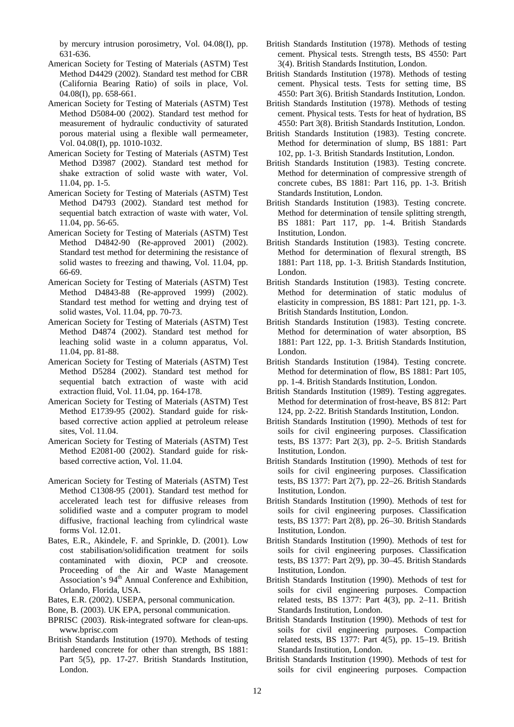by mercury intrusion porosimetry, Vol. 04.08(I), pp. 631-636.

- American Society for Testing of Materials (ASTM) Test Method D4429 (2002). Standard test method for CBR (California Bearing Ratio) of soils in place, Vol. 04.08(I), pp. 658-661.
- American Society for Testing of Materials (ASTM) Test Method D5084-00 (2002). Standard test method for measurement of hydraulic conductivity of saturated porous material using a flexible wall permeameter, Vol. 04.08(I), pp. 1010-1032.
- American Society for Testing of Materials (ASTM) Test Method D3987 (2002). Standard test method for shake extraction of solid waste with water, Vol. 11.04, pp. 1-5.
- American Society for Testing of Materials (ASTM) Test Method D4793 (2002). Standard test method for sequential batch extraction of waste with water, Vol. 11.04, pp. 56-65.
- American Society for Testing of Materials (ASTM) Test Method D4842-90 (Re-approved 2001) (2002). Standard test method for determining the resistance of solid wastes to freezing and thawing, Vol. 11.04, pp. 66-69.
- American Society for Testing of Materials (ASTM) Test Method D4843-88 (Re-approved 1999) (2002). Standard test method for wetting and drying test of solid wastes, Vol. 11.04, pp. 70-73.
- American Society for Testing of Materials (ASTM) Test Method D4874 (2002). Standard test method for leaching solid waste in a column apparatus, Vol. 11.04, pp. 81-88.
- American Society for Testing of Materials (ASTM) Test Method D5284 (2002). Standard test method for sequential batch extraction of waste with acid extraction fluid, Vol. 11.04, pp. 164-178.
- American Society for Testing of Materials (ASTM) Test Method E1739-95 (2002). Standard guide for riskbased corrective action applied at petroleum release sites, Vol. 11.04.
- American Society for Testing of Materials (ASTM) Test Method E2081-00 (2002). Standard guide for riskbased corrective action, Vol. 11.04.
- American Society for Testing of Materials (ASTM) Test Method C1308-95 (2001). Standard test method for accelerated leach test for diffusive releases from solidified waste and a computer program to model diffusive, fractional leaching from cylindrical waste forms Vol. 12.01.
- Bates, E.R., Akindele, F. and Sprinkle, D. (2001). Low cost stabilisation/solidification treatment for soils contaminated with dioxin, PCP and creosote. Proceeding of the Air and Waste Management Association's 94<sup>th</sup> Annual Conference and Exhibition, Orlando, Florida, USA.
- Bates, E.R. (2002). USEPA, personal communication.
- Bone, B. (2003). UK EPA, personal communication.
- BPRISC (2003). Risk-integrated software for clean-ups. www.bprisc.com
- British Standards Institution (1970). Methods of testing hardened concrete for other than strength, BS 1881: Part 5(5), pp. 17-27. British Standards Institution, London.
- British Standards Institution (1978). Methods of testing cement. Physical tests. Strength tests, BS 4550: Part 3(4). British Standards Institution, London.
- British Standards Institution (1978). Methods of testing cement. Physical tests. Tests for setting time, BS 4550: Part 3(6). British Standards Institution, London.
- British Standards Institution (1978). Methods of testing cement. Physical tests. Tests for heat of hydration, BS 4550: Part 3(8). British Standards Institution, London.
- British Standards Institution (1983). Testing concrete. Method for determination of slump, BS 1881: Part 102, pp. 1-3. British Standards Institution, London.
- British Standards Institution (1983). Testing concrete. Method for determination of compressive strength of concrete cubes, BS 1881: Part 116, pp. 1-3. British Standards Institution, London.
- British Standards Institution (1983). Testing concrete. Method for determination of tensile splitting strength, BS 1881: Part 117, pp. 1-4. British Standards Institution, London.
- British Standards Institution (1983). Testing concrete. Method for determination of flexural strength, BS 1881: Part 118, pp. 1-3. British Standards Institution, London.
- British Standards Institution (1983). Testing concrete. Method for determination of static modulus of elasticity in compression, BS 1881: Part 121, pp. 1-3. British Standards Institution, London.
- British Standards Institution (1983). Testing concrete. Method for determination of water absorption, BS 1881: Part 122, pp. 1-3. British Standards Institution, London.
- British Standards Institution (1984). Testing concrete. Method for determination of flow, BS 1881: Part 105, pp. 1-4. British Standards Institution, London.
- British Standards Institution (1989). Testing aggregates. Method for determination of frost-heave, BS 812: Part 124, pp. 2-22. British Standards Institution, London.
- British Standards Institution (1990). Methods of test for soils for civil engineering purposes. Classification tests, BS 1377: Part 2(3), pp. 2–5. British Standards Institution, London.
- British Standards Institution (1990). Methods of test for soils for civil engineering purposes. Classification tests, BS 1377: Part 2(7), pp. 22–26. British Standards Institution, London.
- British Standards Institution (1990). Methods of test for soils for civil engineering purposes. Classification tests, BS 1377: Part 2(8), pp. 26–30. British Standards Institution, London.
- British Standards Institution (1990). Methods of test for soils for civil engineering purposes. Classification tests, BS 1377: Part 2(9), pp. 30–45. British Standards Institution, London.
- British Standards Institution (1990). Methods of test for soils for civil engineering purposes. Compaction related tests, BS 1377: Part  $4(3)$ , pp. 2-11. British Standards Institution, London.
- British Standards Institution (1990). Methods of test for soils for civil engineering purposes. Compaction related tests, BS 1377: Part 4(5), pp. 15–19. British Standards Institution, London.
- British Standards Institution (1990). Methods of test for soils for civil engineering purposes. Compaction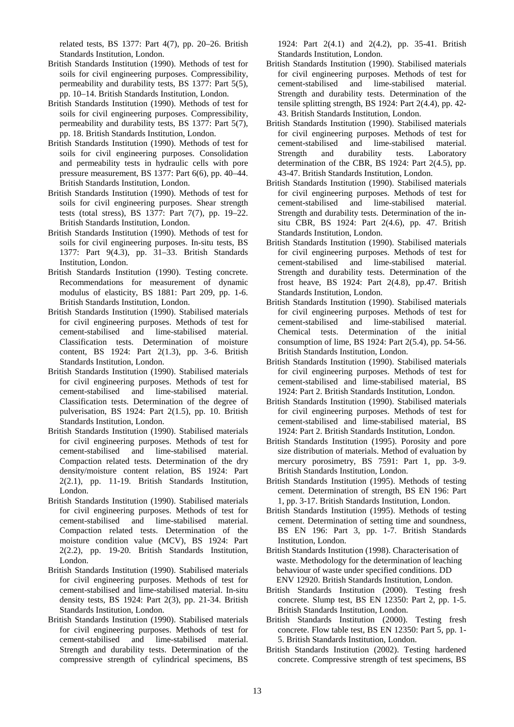related tests, BS 1377: Part 4(7), pp. 20–26. British Standards Institution, London.

- British Standards Institution (1990). Methods of test for soils for civil engineering purposes. Compressibility, permeability and durability tests, BS 1377: Part 5(5), pp. 10–14. British Standards Institution, London.
- British Standards Institution (1990). Methods of test for soils for civil engineering purposes. Compressibility, permeability and durability tests, BS 1377: Part 5(7), pp. 18. British Standards Institution, London.
- British Standards Institution (1990). Methods of test for soils for civil engineering purposes. Consolidation and permeability tests in hydraulic cells with pore pressure measurement, BS 1377: Part 6(6), pp. 40–44. British Standards Institution, London.
- British Standards Institution (1990). Methods of test for soils for civil engineering purposes. Shear strength tests (total stress), BS 1377: Part 7(7), pp. 19–22. British Standards Institution, London.
- British Standards Institution (1990). Methods of test for soils for civil engineering purposes. In-situ tests, BS 1377: Part 9(4.3), pp. 31–33. British Standards Institution, London.
- British Standards Institution (1990). Testing concrete. Recommendations for measurement of dynamic modulus of elasticity, BS 1881: Part 209, pp. 1-6. British Standards Institution, London.
- British Standards Institution (1990). Stabilised materials for civil engineering purposes. Methods of test for cement-stabilised and lime-stabilised material. Classification tests. Determination of moisture content, BS 1924: Part 2(1.3), pp. 3-6. British Standards Institution, London.
- British Standards Institution (1990). Stabilised materials for civil engineering purposes. Methods of test for cement-stabilised and lime-stabilised material. Classification tests. Determination of the degree of pulverisation, BS 1924: Part 2(1.5), pp. 10. British Standards Institution, London.
- British Standards Institution (1990). Stabilised materials for civil engineering purposes. Methods of test for cement-stabilised and lime-stabilised material. Compaction related tests. Determination of the dry density/moisture content relation, BS 1924: Part  $2(2.1)$ , pp. 11-19. British Standards Institution, London.
- British Standards Institution (1990). Stabilised materials for civil engineering purposes. Methods of test for cement-stabilised and lime-stabilised material. Compaction related tests. Determination of the moisture condition value (MCV), BS 1924: Part 2(2.2), pp. 19-20. British Standards Institution, London.
- British Standards Institution (1990). Stabilised materials for civil engineering purposes. Methods of test for cement-stabilised and lime-stabilised material. In-situ density tests, BS 1924: Part 2(3), pp. 21-34. British Standards Institution, London.
- British Standards Institution (1990). Stabilised materials for civil engineering purposes. Methods of test for cement-stabilised and lime-stabilised material. Strength and durability tests. Determination of the compressive strength of cylindrical specimens, BS

1924: Part 2(4.1) and 2(4.2), pp. 35-41. British Standards Institution, London.

- British Standards Institution (1990). Stabilised materials for civil engineering purposes. Methods of test for cement-stabilised and lime-stabilised material. Strength and durability tests. Determination of the tensile splitting strength, BS 1924: Part 2(4.4), pp. 42- 43. British Standards Institution, London.
- British Standards Institution (1990). Stabilised materials for civil engineering purposes. Methods of test for cement-stabilised and lime-stabilised material. Strength and durability tests. Laboratory determination of the CBR, BS 1924: Part 2(4.5), pp. 43-47. British Standards Institution, London.
- British Standards Institution (1990). Stabilised materials for civil engineering purposes. Methods of test for cement-stabilised and lime-stabilised material. Strength and durability tests. Determination of the insitu CBR, BS 1924: Part 2(4.6), pp. 47. British Standards Institution, London.
- British Standards Institution (1990). Stabilised materials for civil engineering purposes. Methods of test for cement-stabilised and lime-stabilised material. Strength and durability tests. Determination of the frost heave, BS 1924: Part 2(4.8), pp.47. British Standards Institution, London.
- British Standards Institution (1990). Stabilised materials for civil engineering purposes. Methods of test for cement-stabilised and lime-stabilised material. Chemical tests. Determination of the initial consumption of lime, BS 1924: Part 2(5.4), pp. 54-56. British Standards Institution, London.
- British Standards Institution (1990). Stabilised materials for civil engineering purposes. Methods of test for cement-stabilised and lime-stabilised material, BS 1924: Part 2. British Standards Institution, London.
- British Standards Institution (1990). Stabilised materials for civil engineering purposes. Methods of test for cement-stabilised and lime-stabilised material, BS 1924: Part 2. British Standards Institution, London.
- British Standards Institution (1995). Porosity and pore size distribution of materials. Method of evaluation by mercury porosimetry, BS 7591: Part 1, pp. 3-9. British Standards Institution, London.
- British Standards Institution (1995). Methods of testing cement. Determination of strength, BS EN 196: Part 1, pp. 3-17. British Standards Institution, London.
- British Standards Institution (1995). Methods of testing cement. Determination of setting time and soundness, BS EN 196: Part 3, pp. 1-7. British Standards Institution, London.
- British Standards Institution (1998). Characterisation of waste. Methodology for the determination of leaching behaviour of waste under specified conditions. DD ENV 12920. British Standards Institution, London.
- British Standards Institution (2000). Testing fresh concrete. Slump test, BS EN 12350: Part 2, pp. 1-5. British Standards Institution, London.
- British Standards Institution (2000). Testing fresh concrete. Flow table test, BS EN 12350: Part 5, pp. 1- 5. British Standards Institution, London.
- British Standards Institution (2002). Testing hardened concrete. Compressive strength of test specimens, BS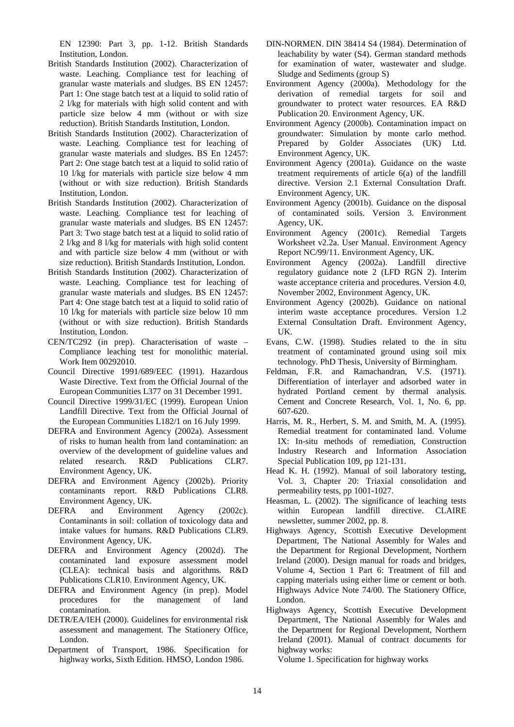EN 12390: Part 3, pp. 1-12. British Standards Institution, London.

- British Standards Institution (2002). Characterization of waste. Leaching. Compliance test for leaching of granular waste materials and sludges. BS EN 12457: Part 1: One stage batch test at a liquid to solid ratio of 2 l/kg for materials with high solid content and with particle size below 4 mm (without or with size reduction). British Standards Institution, London.
- British Standards Institution (2002). Characterization of waste. Leaching. Compliance test for leaching of granular waste materials and sludges. BS En 12457: Part 2: One stage batch test at a liquid to solid ratio of 10 l/kg for materials with particle size below 4 mm (without or with size reduction). British Standards Institution, London.
- British Standards Institution (2002). Characterization of waste. Leaching. Compliance test for leaching of granular waste materials and sludges. BS EN 12457: Part 3: Two stage batch test at a liquid to solid ratio of 2 l/kg and 8 l/kg for materials with high solid content and with particle size below 4 mm (without or with size reduction). British Standards Institution, London.
- British Standards Institution (2002). Characterization of waste. Leaching. Compliance test for leaching of granular waste materials and sludges. BS EN 12457: Part 4: One stage batch test at a liquid to solid ratio of 10 l/kg for materials with particle size below 10 mm (without or with size reduction). British Standards Institution, London.
- CEN/TC292 (in prep). Characterisation of waste Compliance leaching test for monolithic material. Work Item 00292010.
- Council Directive 1991/689/EEC (1991). Hazardous Waste Directive. Text from the Official Journal of the European Communities L377 on 31 December 1991.
- Council Directive 1999/31/EC (1999). European Union Landfill Directive. Text from the Official Journal of the European Communities L182/1 on 16 July 1999.
- DEFRA and Environment Agency (2002a). Assessment of risks to human health from land contamination: an overview of the development of guideline values and related research. R&D Publications CLR7. Environment Agency, UK.
- DEFRA and Environment Agency (2002b). Priority contaminants report. R&D Publications CLR8. Environment Agency, UK.
- DEFRA and Environment Agency (2002c). Contaminants in soil: collation of toxicology data and intake values for humans. R&D Publications CLR9. Environment Agency, UK.
- DEFRA and Environment Agency (2002d). The contaminated land exposure assessment model (CLEA): technical basis and algorithms. R&D Publications CLR10. Environment Agency, UK.
- DEFRA and Environment Agency (in prep). Model procedures for the management of land contamination.
- DETR/EA/IEH (2000). Guidelines for environmental risk assessment and management. The Stationery Office, London.
- Department of Transport, 1986. Specification for highway works, Sixth Edition. HMSO, London 1986.
- DIN-NORMEN. DIN 38414 S4 (1984). Determination of leachability by water (S4). German standard methods for examination of water, wastewater and sludge. Sludge and Sediments (group S)
- Environment Agency (2000a). Methodology for the derivation of remedial targets for soil and groundwater to protect water resources. EA R&D Publication 20. Environment Agency, UK.
- Environment Agency (2000b). Contamination impact on groundwater: Simulation by monte carlo method. Prepared by Golder Associates (UK) Ltd. Environment Agency, UK.
- Environment Agency (2001a). Guidance on the waste treatment requirements of article 6(a) of the landfill directive. Version 2.1 External Consultation Draft. Environment Agency, UK.
- Environment Agency (2001b). Guidance on the disposal of contaminated soils. Version 3. Environment Agency, UK.
- Environment Agency (2001c). Remedial Targets Worksheet v2.2a. User Manual. Environment Agency Report NC/99/11. Environment Agency, UK.
- Environment Agency (2002a). Landfill directive regulatory guidance note 2 (LFD RGN 2). Interim waste acceptance criteria and procedures. Version 4.0, November 2002, Environment Agency, UK.
- Environment Agency (2002b). Guidance on national interim waste acceptance procedures. Version 1.2 External Consultation Draft. Environment Agency, UK.
- Evans, C.W. (1998). Studies related to the in situ treatment of contaminated ground using soil mix technology. PhD Thesis, University of Birmingham.
- Feldman, F.R. and Ramachandran, V.S. (1971). Differentiation of interlayer and adsorbed water in hydrated Portland cement by thermal analysis. Cement and Concrete Research, Vol. 1, No. 6, pp. 607-620.
- Harris, M. R., Herbert, S. M. and Smith, M. A. (1995). Remedial treatment for contaminated land. Volume IX: In-situ methods of remediation, Construction Industry Research and Information Association Special Publication 109, pp 121-131.
- Head K. H. (1992). Manual of soil laboratory testing, Vol. 3, Chapter 20: Triaxial consolidation and permeability tests, pp 1001-1027.
- Heasman, L. (2002). The significance of leaching tests within European landfill directive. CLAIRE newsletter, summer 2002, pp. 8.
- Highways Agency, Scottish Executive Development Department, The National Assembly for Wales and the Department for Regional Development, Northern Ireland (2000). Design manual for roads and bridges, Volume 4, Section 1 Part 6: Treatment of fill and capping materials using either lime or cement or both. Highways Advice Note 74/00. The Stationery Office, London.
- Highways Agency, Scottish Executive Development Department, The National Assembly for Wales and the Department for Regional Development, Northern Ireland (2001). Manual of contract documents for highway works:

Volume 1. Specification for highway works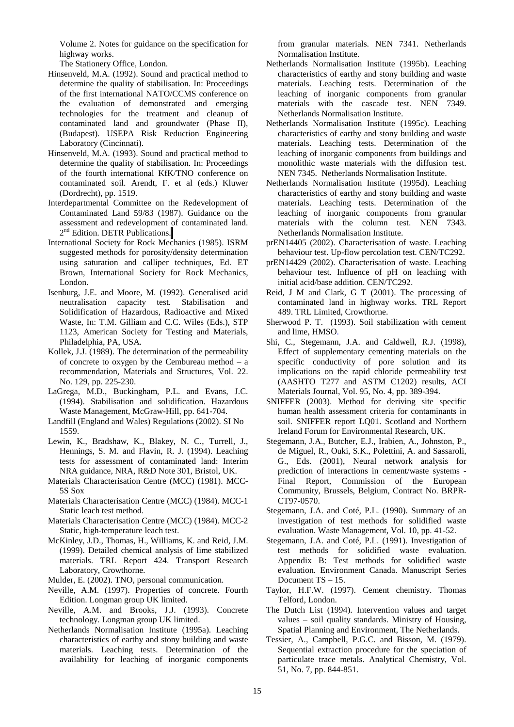Volume 2. Notes for guidance on the specification for highway works.

The Stationery Office, London.

- Hinsenveld, M.A. (1992). Sound and practical method to determine the quality of stabilisation. In: Proceedings of the first international NATO/CCMS conference on the evaluation of demonstrated and emerging technologies for the treatment and cleanup of contaminated land and groundwater (Phase II), (Budapest). USEPA Risk Reduction Engineering Laboratory (Cincinnati).
- Hinsenveld, M.A. (1993). Sound and practical method to determine the quality of stabilisation. In: Proceedings of the fourth international KfK/TNO conference on contaminated soil. Arendt, F. et al (eds.) Kluwer (Dordrecht), pp. 1519.
- Interdepartmental Committee on the Redevelopment of Contaminated Land 59/83 (1987). Guidance on the assessment and redevelopment of contaminated land. 2<sup>nd</sup> Edition[.](http://www.contaminatedland.co.uk/std-guid/icrcl-l.htm) DETR Publications.
- International Society for Rock Mechanics (1985). ISRM suggested methods for porosity/density determination using saturation and calliper techniques, Ed. ET Brown, International Society for Rock Mechanics, London.
- Isenburg, J.E. and Moore, M. (1992). Generalised acid neutralisation capacity test. Stabilisation and Solidification of Hazardous, Radioactive and Mixed Waste, In: T.M. Gilliam and C.C. Wiles (Eds.), STP 1123, American Society for Testing and Materials, Philadelphia, PA, USA.
- Kollek, J.J. (1989). The determination of the permeability of concrete to oxygen by the Cembureau method – a recommendation, Materials and Structures, Vol. 22. No. 129, pp. 225-230.
- LaGrega, M.D., Buckingham, P.L. and Evans, J.C. (1994). Stabilisation and solidification. Hazardous Waste Management, McGraw-Hill, pp. 641-704.
- Landfill (England and Wales) Regulations (2002). SI No 1559.
- Lewin, K., Bradshaw, K., Blakey, N. C., Turrell, J., Hennings, S. M. and Flavin, R. J. (1994). Leaching tests for assessment of contaminated land: Interim NRA guidance, NRA, R&D Note 301, Bristol, UK.
- Materials Characterisation Centre (MCC) (1981). MCC-5S Sox
- Materials Characterisation Centre (MCC) (1984). MCC-1 Static leach test method.
- Materials Characterisation Centre (MCC) (1984). MCC-2 Static, high-temperature leach test.
- McKinley, J.D., Thomas, H., Williams, K. and Reid, J.M. (1999). Detailed chemical analysis of lime stabilized materials. TRL Report 424. Transport Research Laboratory, Crowthorne.
- Mulder, E. (2002). TNO, personal communication.
- Neville, A.M. (1997). Properties of concrete. Fourth Edition. Longman group UK limited.
- Neville, A.M. and Brooks, J.J. (1993). Concrete technology. Longman group UK limited.
- Netherlands Normalisation Institute (1995a). Leaching characteristics of earthy and stony building and waste materials. Leaching tests. Determination of the availability for leaching of inorganic components

from granular materials. NEN 7341. Netherlands Normalisation Institute.

- Netherlands Normalisation Institute (1995b). Leaching characteristics of earthy and stony building and waste materials. Leaching tests. Determination of the leaching of inorganic components from granular materials with the cascade test. NEN 7349. Netherlands Normalisation Institute.
- Netherlands Normalisation Institute (1995c). Leaching characteristics of earthy and stony building and waste materials. Leaching tests. Determination of the leaching of inorganic components from buildings and monolithic waste materials with the diffusion test. NEN 7345. Netherlands Normalisation Institute.
- Netherlands Normalisation Institute (1995d). Leaching characteristics of earthy and stony building and waste materials. Leaching tests. Determination of the leaching of inorganic components from granular materials with the column test. NEN 7343. Netherlands Normalisation Institute.
- prEN14405 (2002). Characterisation of waste. Leaching behaviour test. Up-flow percolation test. CEN/TC292.
- prEN14429 (2002). Characterisation of waste. Leaching behaviour test. Influence of pH on leaching with initial acid/base addition. CEN/TC292.
- Reid, J M and Clark, G T (2001). The processing of contaminated land in highway works. TRL Report 489. TRL Limited, Crowthorne.
- Sherwood P. T. (1993). Soil stabilization with cement and lime, HMSO.
- Shi, C., Stegemann, J.A. and Caldwell, R.J. (1998), Effect of supplementary cementing materials on the specific conductivity of pore solution and its implications on the rapid chloride permeability test (AASHTO T277 and ASTM C1202) results, ACI Materials Journal, Vol. 95, No. 4, pp. 389-394.
- SNIFFER (2003). Method for deriving site specific human health assessment criteria for contaminants in soil. SNIFFER report LQ01. Scotland and Northern Ireland Forum for Environmental Research, UK.
- Stegemann, J.A., Butcher, E.J., Irabien, A., Johnston, P., de Miguel, R., Ouki, S.K., Polettini, A. and Sassaroli, G., Eds. (2001), Neural network analysis for prediction of interactions in cement/waste systems - Final Report, Commission of the European Community, Brussels, Belgium, Contract No. BRPR-CT97-0570.
- Stegemann, J.A. and Coté, P.L. (1990). Summary of an investigation of test methods for solidified waste evaluation. Waste Management, Vol. 10, pp. 41-52.
- Stegemann, J.A. and Coté, P.L. (1991). Investigation of test methods for solidified waste evaluation. Appendix B: Test methods for solidified waste evaluation. Environment Canada. Manuscript Series Document TS – 15.
- Taylor, H.F.W. (1997). Cement chemistry. Thomas Telford, London.
- The Dutch List (1994). Intervention values and target values – soil quality standards. Ministry of Housing, Spatial Planning and Environment, The Netherlands.
- Tessier, A., Campbell, P.G.C. and Bisson, M. (1979). Sequential extraction procedure for the speciation of particulate trace metals. Analytical Chemistry, Vol. 51, No. 7, pp. 844-851.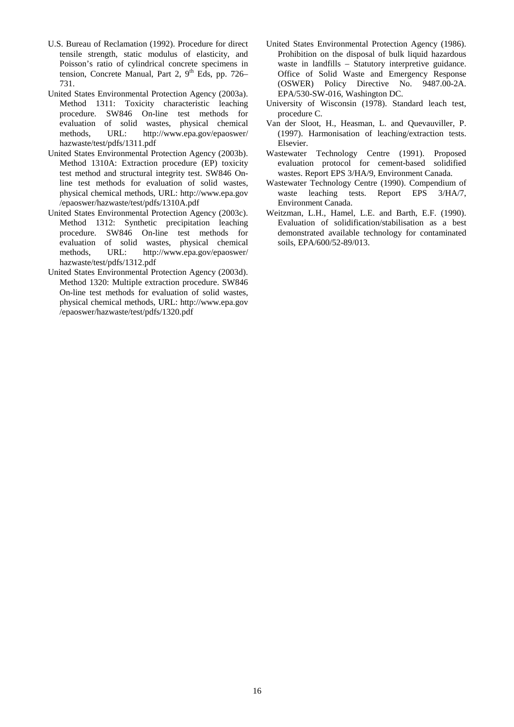- U.S. Bureau of Reclamation (1992). Procedure for direct tensile strength, static modulus of elasticity, and Poisson's ratio of cylindrical concrete specimens in tension, Concrete Manual, Part 2,  $9<sup>th</sup>$  Eds, pp. 726– 731.
- United States Environmental Protection Agency (2003a). Method 1311: Toxicity characteristic leaching procedure. SW846 On-line test methods for evaluation of solid wastes, physical chemical methods, URL: http://www.epa.gov/epaoswer/ hazwaste/test/pdfs/1311.pdf
- United States Environmental Protection Agency (2003b). Method 1310A: Extraction procedure (EP) toxicity test method and structural integrity test. SW846 Online test methods for evaluation of solid wastes, physical chemical methods, URL: http://www.epa.gov /epaoswer/hazwaste/test/pdfs/1310A.pdf
- United States Environmental Protection Agency (2003c). Method 1312: Synthetic precipitation leaching procedure. SW846 On-line test methods for evaluation of solid wastes, physical chemical methods, URL: http://www.epa.gov/epaoswer/ hazwaste/test/pdfs/1312.pdf
- United States Environmental Protection Agency (2003d). Method 1320: Multiple extraction procedure. SW846 On-line test methods for evaluation of solid wastes, physical chemical methods, URL: http://www.epa.gov /epaoswer/hazwaste/test/pdfs/1320.pdf
- United States Environmental Protection Agency (1986). Prohibition on the disposal of bulk liquid hazardous waste in landfills – Statutory interpretive guidance. Office of Solid Waste and Emergency Response (OSWER) Policy Directive No. 9487.00-2A. EPA/530-SW-016, Washington DC.
- University of Wisconsin (1978). Standard leach test, procedure C.
- Van der Sloot, H., Heasman, L. and Quevauviller, P. (1997). Harmonisation of leaching/extraction tests. Elsevier.
- Wastewater Technology Centre (1991). Proposed evaluation protocol for cement-based solidified wastes. Report EPS 3/HA/9, Environment Canada.
- Wastewater Technology Centre (1990). Compendium of waste leaching tests. Report EPS 3/HA/7, Environment Canada.
- Weitzman, L.H., Hamel, L.E. and Barth, E.F. (1990). Evaluation of solidification/stabilisation as a best demonstrated available technology for contaminated soils, EPA/600/52-89/013.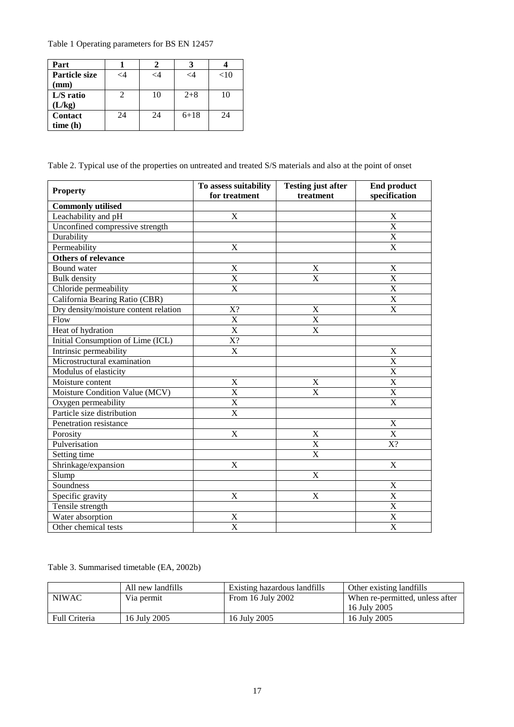Table 1 Operating parameters for BS EN 12457

| Part           |        |        |          |        |
|----------------|--------|--------|----------|--------|
| Particle size  | ${<}4$ | ${<}4$ | $\lt$ 4  | $<$ 10 |
| (mm)           |        |        |          |        |
| L/S ratio      |        | 10     | $2 + 8$  | 10     |
| (L/kg)         |        |        |          |        |
| <b>Contact</b> | 24     | 24     | $6 + 18$ | 24     |
| time(h)        |        |        |          |        |

Table 2. Typical use of the properties on untreated and treated S/S materials and also at the point of onset

| <b>Property</b>                       | To assess suitability     | <b>Testing just after</b> | <b>End product</b>        |  |
|---------------------------------------|---------------------------|---------------------------|---------------------------|--|
|                                       | for treatment             | treatment                 | specification             |  |
| <b>Commonly utilised</b>              |                           |                           |                           |  |
| Leachability and pH                   | $\mathbf X$               |                           | X                         |  |
| Unconfined compressive strength       |                           |                           | $\mathbf X$               |  |
| Durability                            |                           |                           | $\overline{\text{X}}$     |  |
| Permeability                          | $\mathbf X$               |                           | $\overline{X}$            |  |
| <b>Others of relevance</b>            |                           |                           |                           |  |
| Bound water                           | X                         | $\mathbf X$               | X                         |  |
| <b>Bulk</b> density                   | $\overline{\text{X}}$     | $\overline{\mathrm{X}}$   | $\overline{\mathrm{X}}$   |  |
| Chloride permeability                 | $\overline{\text{X}}$     |                           | $\mathbf X$               |  |
| California Bearing Ratio (CBR)        |                           |                           | $\mathbf X$               |  |
| Dry density/moisture content relation | X?                        | $\mathbf X$               | $\mathbf X$               |  |
| Flow                                  | $\mathbf X$               | $\mathbf X$               |                           |  |
| Heat of hydration                     | $\overline{\mathrm{X}}$   | X                         |                           |  |
| Initial Consumption of Lime (ICL)     | X?                        |                           |                           |  |
| Intrinsic permeability                | $\mathbf X$               |                           | X                         |  |
| Microstructural examination           |                           |                           | $\overline{\text{X}}$     |  |
| Modulus of elasticity                 |                           |                           | $\mathbf X$               |  |
| Moisture content                      | $\overline{\text{X}}$     | $\overline{\text{X}}$     | $\overline{\text{X}}$     |  |
| Moisture Condition Value (MCV)        | $\overline{\text{X}}$     | $\overline{\text{X}}$     | $\overline{\text{X}}$     |  |
| Oxygen permeability                   | $\overline{\text{X}}$     |                           | $\overline{X}$            |  |
| Particle size distribution            | $\overline{\mathrm{X}}$   |                           |                           |  |
| Penetration resistance                |                           |                           | $\overline{X}$            |  |
| Porosity                              | $\overline{\mathbf{X}}$   | $\mathbf X$               | $\overline{X}$            |  |
| Pulverisation                         |                           | X                         | $X$ ?                     |  |
| Setting time                          |                           | $\boldsymbol{\mathrm{X}}$ |                           |  |
| Shrinkage/expansion                   | $\boldsymbol{\mathrm{X}}$ |                           | $\boldsymbol{\mathrm{X}}$ |  |
| Slump                                 |                           | $\overline{\mathbf{X}}$   |                           |  |
| Soundness                             |                           |                           | $\overline{X}$            |  |
| Specific gravity                      | $\boldsymbol{\mathrm{X}}$ | $\overline{\text{X}}$     | $\overline{X}$            |  |
| Tensile strength                      |                           |                           | $\overline{X}$            |  |
| Water absorption                      | X                         |                           | X                         |  |
| Other chemical tests                  | $\overline{\text{X}}$     |                           | $\overline{\text{X}}$     |  |

Table 3. Summarised timetable (EA, 2002b)

|               | All new landfills | Existing hazardous landfills | Other existing landfills        |
|---------------|-------------------|------------------------------|---------------------------------|
| <b>NIWAC</b>  | Via permit        | From 16 July 2002            | When re-permitted, unless after |
|               |                   |                              | 16 July 2005                    |
| Full Criteria | 16 July 2005      | 16 July 2005                 | 16 July 2005                    |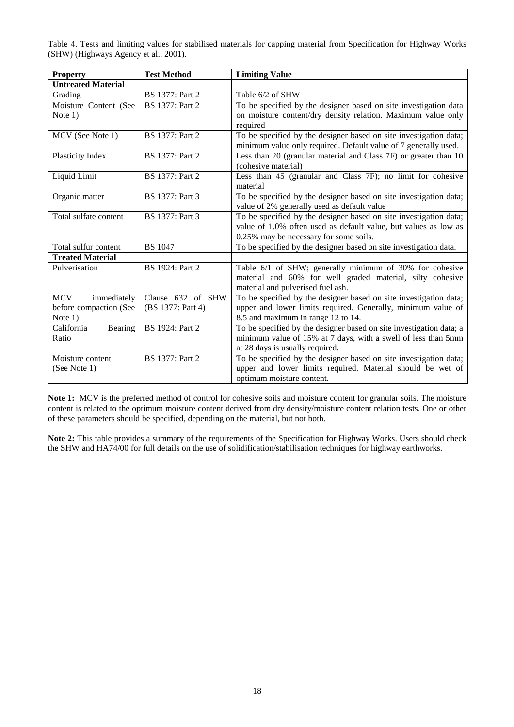Table 4. Tests and limiting values for stabilised materials for capping material from Specification for Highway Works (SHW) (Highways Agency et al., 2001).

| <b>Property</b>           | <b>Test Method</b>     | <b>Limiting Value</b>                                               |
|---------------------------|------------------------|---------------------------------------------------------------------|
| <b>Untreated Material</b> |                        |                                                                     |
| Grading                   | <b>BS</b> 1377: Part 2 | Table 6/2 of SHW                                                    |
| Moisture Content (See     | <b>BS</b> 1377: Part 2 | To be specified by the designer based on site investigation data    |
| Note 1)                   |                        | on moisture content/dry density relation. Maximum value only        |
|                           |                        | required                                                            |
| MCV (See Note 1)          | <b>BS</b> 1377: Part 2 | To be specified by the designer based on site investigation data;   |
|                           |                        | minimum value only required. Default value of 7 generally used.     |
| Plasticity Index          | <b>BS</b> 1377: Part 2 | Less than 20 (granular material and Class 7F) or greater than 10    |
|                           |                        | (cohesive material)                                                 |
| Liquid Limit              | <b>BS</b> 1377: Part 2 | Less than 45 (granular and Class 7F); no limit for cohesive         |
|                           |                        | material                                                            |
| Organic matter            | <b>BS</b> 1377: Part 3 | To be specified by the designer based on site investigation data;   |
|                           |                        | value of 2% generally used as default value                         |
| Total sulfate content     | <b>BS</b> 1377: Part 3 | To be specified by the designer based on site investigation data;   |
|                           |                        | value of 1.0% often used as default value, but values as low as     |
|                           |                        | 0.25% may be necessary for some soils.                              |
| Total sulfur content      | <b>BS</b> 1047         | To be specified by the designer based on site investigation data.   |
| <b>Treated Material</b>   |                        |                                                                     |
| Pulverisation             | <b>BS</b> 1924: Part 2 | Table 6/1 of SHW; generally minimum of 30% for cohesive             |
|                           |                        | material and 60% for well graded material, silty cohesive           |
|                           |                        | material and pulverised fuel ash.                                   |
| MCV<br>immediately        | Clause 632 of SHW      | To be specified by the designer based on site investigation data;   |
| before compaction (See    | (BS 1377: Part 4)      | upper and lower limits required. Generally, minimum value of        |
| Note 1)                   |                        | 8.5 and maximum in range 12 to 14.                                  |
| California<br>Bearing     | <b>BS</b> 1924: Part 2 | To be specified by the designer based on site investigation data; a |
| Ratio                     |                        | minimum value of 15% at 7 days, with a swell of less than 5mm       |
|                           |                        | at 28 days is usually required.                                     |
| Moisture content          | <b>BS</b> 1377: Part 2 | To be specified by the designer based on site investigation data;   |
| (See Note 1)              |                        | upper and lower limits required. Material should be wet of          |
|                           |                        | optimum moisture content.                                           |

**Note 1:** MCV is the preferred method of control for cohesive soils and moisture content for granular soils. The moisture content is related to the optimum moisture content derived from dry density/moisture content relation tests. One or other of these parameters should be specified, depending on the material, but not both.

**Note 2:** This table provides a summary of the requirements of the Specification for Highway Works. Users should check the SHW and HA74/00 for full details on the use of solidification/stabilisation techniques for highway earthworks.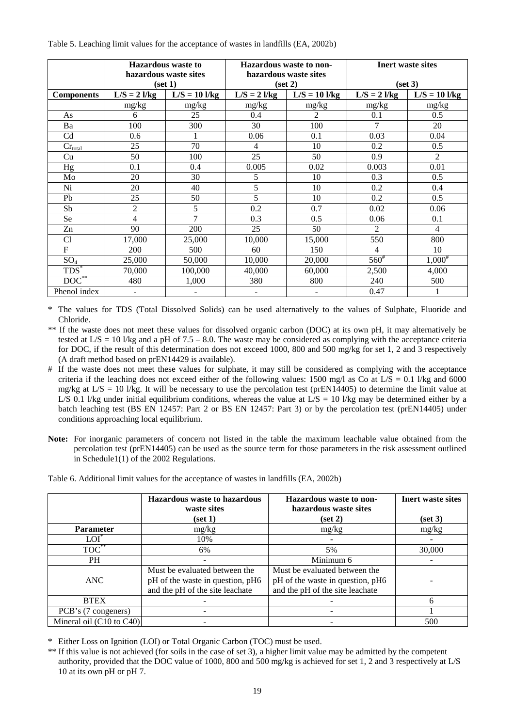|                       | <b>Hazardous</b> waste to<br>hazardous waste sites |                 | Hazardous waste to non- | hazardous waste sites | <b>Inert waste sites</b> |                 |
|-----------------------|----------------------------------------------------|-----------------|-------------------------|-----------------------|--------------------------|-----------------|
|                       | (set 1)                                            |                 |                         | (set 2)               | (set 3)                  |                 |
| <b>Components</b>     | $L/S = 2$ l/kg                                     | $L/S = 10$ l/kg | $L/S = 2$ l/kg          | $L/S = 10$ l/kg       | $L/S = 2$ l/kg           | $L/S = 10$ l/kg |
|                       | mg/kg                                              | mg/kg           | mg/kg                   | mg/kg                 | mg/kg                    | mg/kg           |
| As                    | 6                                                  | 25              | 0.4                     | $\mathfrak{D}$        | 0.1                      | 0.5             |
| Ba                    | 100                                                | 300             | 30                      | 100                   | 7                        | 20              |
| C <sub>d</sub>        | 0.6                                                |                 | 0.06                    | 0.1                   | 0.03                     | 0.04            |
| $Cr_{\text{total}}$   | 25                                                 | 70              | 4                       | 10                    | 0.2                      | 0.5             |
| Cu                    | 50                                                 | 100             | 25                      | 50                    | 0.9                      | $\overline{2}$  |
| Hg                    | 0.1                                                | 0.4             | 0.005                   | 0.02                  | 0.003                    | 0.01            |
| Mo                    | 20                                                 | 30              | 5                       | 10                    | 0.3                      | 0.5             |
| Ni                    | 20                                                 | 40              | 5                       | 10                    | 0.2                      | 0.4             |
| Pb                    | 25                                                 | 50              | 5                       | 10                    | 0.2                      | 0.5             |
| Sb                    | $\overline{2}$                                     | 5               | 0.2                     | 0.7                   | 0.02                     | 0.06            |
| <b>Se</b>             | 4                                                  | 7               | 0.3                     | 0.5                   | 0.06                     | 0.1             |
| Zn                    | 90                                                 | 200             | 25                      | 50                    | $\overline{c}$           | 4               |
| Cl                    | 17,000                                             | 25,000          | 10,000                  | 15,000                | 550                      | 800             |
| $\mathbf F$           | 200                                                | 500             | 60                      | 150                   | 4                        | 10              |
| $SO_4$                | 25,000                                             | 50,000          | 10,000                  | 20,000                | $560^{\text{*}}$         | $1,000^{\#}$    |
| $T\overline{DS}^*$    | 70,000                                             | 100,000         | 40,000                  | 60,000                | 2,500                    | 4,000           |
| $\overline{DOC}^{**}$ | 480                                                | 1,000           | 380                     | 800                   | 240                      | 500             |
| Phenol index          | $\overline{\phantom{0}}$                           |                 |                         |                       | 0.47                     |                 |

Table 5. Leaching limit values for the acceptance of wastes in landfills (EA, 2002b)

\* The values for TDS (Total Dissolved Solids) can be used alternatively to the values of Sulphate, Fluoride and Chloride.

\*\* If the waste does not meet these values for dissolved organic carbon (DOC) at its own pH, it may alternatively be tested at  $L/S = 10$  l/kg and a pH of 7.5 – 8.0. The waste may be considered as complying with the acceptance criteria for DOC, if the result of this determination does not exceed 1000, 800 and 500 mg/kg for set 1, 2 and 3 respectively (A draft method based on prEN14429 is available).

# If the waste does not meet these values for sulphate, it may still be considered as complying with the acceptance criteria if the leaching does not exceed either of the following values: 1500 mg/l as Co at  $L/S = 0.1$  l/kg and 6000 mg/kg at L/S = 10 l/kg. It will be necessary to use the percolation test (prEN14405) to determine the limit value at L/S 0.1 l/kg under initial equilibrium conditions, whereas the value at  $L/S = 10$  l/kg may be determined either by a batch leaching test (BS EN 12457: Part 2 or BS EN 12457: Part 3) or by the percolation test (prEN14405) under conditions approaching local equilibrium.

**Note:** For inorganic parameters of concern not listed in the table the maximum leachable value obtained from the percolation test (prEN14405) can be used as the source term for those parameters in the risk assessment outlined in Schedule1(1) of the 2002 Regulations.

Table 6. Additional limit values for the acceptance of wastes in landfills (EA, 2002b)

|                                     | <b>Hazardous waste to hazardous</b><br>waste sites | Hazardous waste to non-<br>hazardous waste sites | <b>Inert</b> waste sites |
|-------------------------------------|----------------------------------------------------|--------------------------------------------------|--------------------------|
|                                     | (set 1)                                            | (set 2)                                          | (set 3)                  |
| <b>Parameter</b>                    | mg/kg                                              | mg/kg                                            | mg/kg                    |
| $LOI^*$                             | 10%                                                |                                                  |                          |
| $TOC^{**}$                          | 6%                                                 | 5%                                               | 30,000                   |
| <b>PH</b>                           |                                                    | Minimum 6                                        |                          |
|                                     | Must be evaluated between the                      | Must be evaluated between the                    |                          |
| <b>ANC</b>                          | pH of the waste in question, pH6                   | pH of the waste in question, pH6                 |                          |
|                                     | and the pH of the site leachate                    | and the pH of the site leachate                  |                          |
| <b>BTEX</b>                         |                                                    |                                                  | h                        |
| PCB's (7 congeners)                 |                                                    |                                                  |                          |
| Mineral oil $(C10 \text{ to } C40)$ |                                                    |                                                  | 500                      |

\* Either Loss on Ignition (LOI) or Total Organic Carbon (TOC) must be used.

\*\* If this value is not achieved (for soils in the case of set 3), a higher limit value may be admitted by the competent authority, provided that the DOC value of 1000, 800 and 500 mg/kg is achieved for set 1, 2 and 3 respectively at L/S 10 at its own pH or pH 7.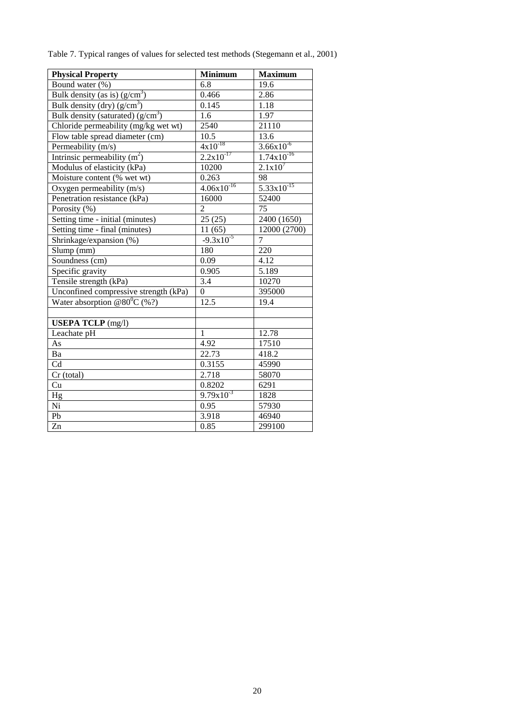|  |  |  |  | Table 7. Typical ranges of values for selected test methods (Stegemann et al., 2001) |  |
|--|--|--|--|--------------------------------------------------------------------------------------|--|
|  |  |  |  |                                                                                      |  |

| <b>Physical Property</b>                 | <b>Minimum</b>  | <b>Maximum</b>         |
|------------------------------------------|-----------------|------------------------|
| Bound water (%)                          | 6.8             | 19.6                   |
| Bulk density (as is) $(g/cm3)$           | 0.466           | 2.86                   |
| Bulk density (dry) $(g/cm^3)$            | 0.145           | 1.18                   |
| Bulk density (saturated) $(g/cm^3)$      | 1.6             | 1.97                   |
| Chloride permeability (mg/kg wet wt)     | 2540            | 21110                  |
| Flow table spread diameter (cm)          | 10.5            | 13.6                   |
| Permeability (m/s)                       | $4x10^{-18}$    | $3.66x10^{-6}$         |
| Intrinsic permeability $(m^2)$           | $2.2x10^{-17}$  | $1.74 \times 10^{-16}$ |
| Modulus of elasticity (kPa)              | 10200           | $2.1x10^{7}$           |
| Moisture content (% wet wt)              | 0.263           | 98                     |
| Oxygen permeability (m/s)                | $4.06x10^{-16}$ | $5.33 \times 10^{-15}$ |
| Penetration resistance (kPa)             | 16000           | 52400                  |
| Porosity $(\%)$                          | $\overline{2}$  | $\overline{75}$        |
| Setting time - initial (minutes)         | 25(25)          | 2400 (1650)            |
| Setting time - final (minutes)           | 11(65)          | 12000 (2700)           |
| Shrinkage/expansion (%)                  | $-9.3x10^{-5}$  | $\overline{7}$         |
| Slump (mm)                               | 180             | 220                    |
| Soundness (cm)                           | 0.09            | 4.12                   |
| Specific gravity                         | 0.905           | 5.189                  |
| Tensile strength (kPa)                   | 3.4             | 10270                  |
| Unconfined compressive strength (kPa)    | $\Omega$        | 395000                 |
| Water absorption @80 <sup>0</sup> C (%?) | 12.5            | 19.4                   |
|                                          |                 |                        |
| <b>USEPA TCLP</b> (mg/l)                 |                 |                        |
| Leachate pH                              | $\mathbf{1}$    | 12.78                  |
| As                                       | 4.92            | 17510                  |
| Ba                                       | 22.73           | 418.2                  |
| Cd                                       | 0.3155          | 45990                  |
| Cr (total)                               | 2.718           | 58070                  |
| Cu                                       | 0.8202          | 6291                   |
| $\overline{Hg}$                          | $9.79x10^{-3}$  | 1828                   |
| Ni                                       | 0.95            | 57930                  |
| Pb                                       | 3.918           | 46940                  |
| $\overline{Zn}$                          | 0.85            | 299100                 |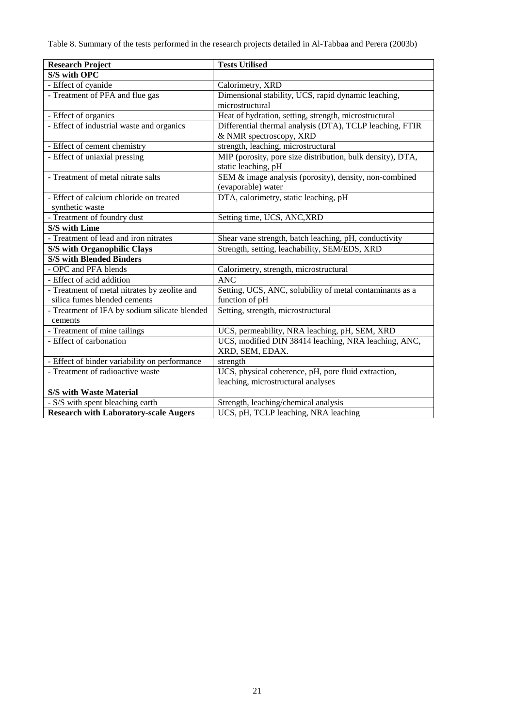Table 8. Summary of the tests performed in the research projects detailed in Al-Tabbaa and Perera (2003b)

| <b>Research Project</b>                       | <b>Tests Utilised</b>                                      |  |
|-----------------------------------------------|------------------------------------------------------------|--|
| <b>S/S with OPC</b>                           |                                                            |  |
| - Effect of cyanide                           | Calorimetry, XRD                                           |  |
| - Treatment of PFA and flue gas               | Dimensional stability, UCS, rapid dynamic leaching,        |  |
|                                               | microstructural                                            |  |
| - Effect of organics                          | Heat of hydration, setting, strength, microstructural      |  |
| - Effect of industrial waste and organics     | Differential thermal analysis (DTA), TCLP leaching, FTIR   |  |
|                                               | & NMR spectroscopy, XRD                                    |  |
| - Effect of cement chemistry                  | strength, leaching, microstructural                        |  |
| - Effect of uniaxial pressing                 | MIP (porosity, pore size distribution, bulk density), DTA, |  |
|                                               | static leaching, pH                                        |  |
| - Treatment of metal nitrate salts            | SEM & image analysis (porosity), density, non-combined     |  |
|                                               | (evaporable) water                                         |  |
| - Effect of calcium chloride on treated       | DTA, calorimetry, static leaching, pH                      |  |
| synthetic waste                               |                                                            |  |
| - Treatment of foundry dust                   | Setting time, UCS, ANC, XRD                                |  |
| <b>S/S</b> with Lime                          |                                                            |  |
| - Treatment of lead and iron nitrates         | Shear vane strength, batch leaching, pH, conductivity      |  |
| <b>S/S with Organophilic Clays</b>            | Strength, setting, leachability, SEM/EDS, XRD              |  |
| <b>S/S with Blended Binders</b>               |                                                            |  |
| - OPC and PFA blends                          | Calorimetry, strength, microstructural                     |  |
| - Effect of acid addition                     | <b>ANC</b>                                                 |  |
| - Treatment of metal nitrates by zeolite and  | Setting, UCS, ANC, solubility of metal contaminants as a   |  |
| silica fumes blended cements                  | function of pH                                             |  |
| - Treatment of IFA by sodium silicate blended | Setting, strength, microstructural                         |  |
| cements                                       |                                                            |  |
| - Treatment of mine tailings                  | UCS, permeability, NRA leaching, pH, SEM, XRD              |  |
| - Effect of carbonation                       | UCS, modified DIN 38414 leaching, NRA leaching, ANC,       |  |
|                                               | XRD, SEM, EDAX.                                            |  |
| - Effect of binder variability on performance | strength                                                   |  |
| - Treatment of radioactive waste              | UCS, physical coherence, pH, pore fluid extraction,        |  |
|                                               | leaching, microstructural analyses                         |  |
| <b>S/S with Waste Material</b>                |                                                            |  |
| - S/S with spent bleaching earth              | Strength, leaching/chemical analysis                       |  |
| <b>Research with Laboratory-scale Augers</b>  | UCS, pH, TCLP leaching, NRA leaching                       |  |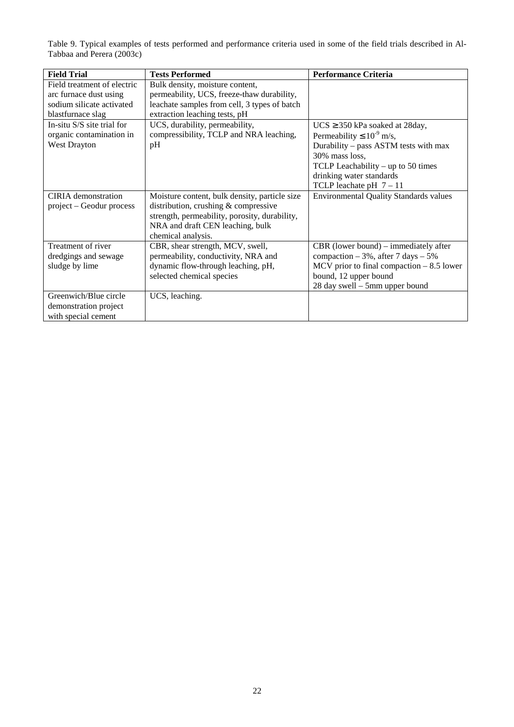Table 9. Typical examples of tests performed and performance criteria used in some of the field trials described in Al-Tabbaa and Perera (2003c)

| <b>Field Trial</b>           | <b>Tests Performed</b>                        | <b>Performance Criteria</b>                   |
|------------------------------|-----------------------------------------------|-----------------------------------------------|
| Field treatment of electric  | Bulk density, moisture content,               |                                               |
| arc furnace dust using       | permeability, UCS, freeze-thaw durability,    |                                               |
| sodium silicate activated    | leachate samples from cell, 3 types of batch  |                                               |
| blastfurnace slag            | extraction leaching tests, pH                 |                                               |
| In-situ $S/S$ site trial for | UCS, durability, permeability,                | $UCS \geq 350$ kPa soaked at 28day,           |
| organic contamination in     | compressibility, TCLP and NRA leaching,       | Permeability $\leq 10^{-9}$ m/s,              |
| <b>West Drayton</b>          | pH                                            | Durability - pass ASTM tests with max         |
|                              |                                               | 30% mass loss,                                |
|                              |                                               | TCLP Leachability – up to 50 times            |
|                              |                                               | drinking water standards                      |
|                              |                                               | TCLP leachate pH $7 - 11$                     |
| <b>CIRIA</b> demonstration   | Moisture content, bulk density, particle size | <b>Environmental Quality Standards values</b> |
| project – Geodur process     | distribution, crushing & compressive          |                                               |
|                              | strength, permeability, porosity, durability, |                                               |
|                              | NRA and draft CEN leaching, bulk              |                                               |
|                              | chemical analysis.                            |                                               |
| Treatment of river           | CBR, shear strength, MCV, swell,              | CBR (lower bound) $-$ immediately after       |
| dredgings and sewage         | permeability, conductivity, NRA and           | compaction $-3\%$ , after 7 days $-5\%$       |
| sludge by lime               | dynamic flow-through leaching, pH,            | MCV prior to final compaction $-8.5$ lower    |
|                              | selected chemical species                     | bound, 12 upper bound                         |
|                              |                                               | 28 day swell – 5mm upper bound                |
| Greenwich/Blue circle        | UCS, leaching.                                |                                               |
| demonstration project        |                                               |                                               |
| with special cement          |                                               |                                               |